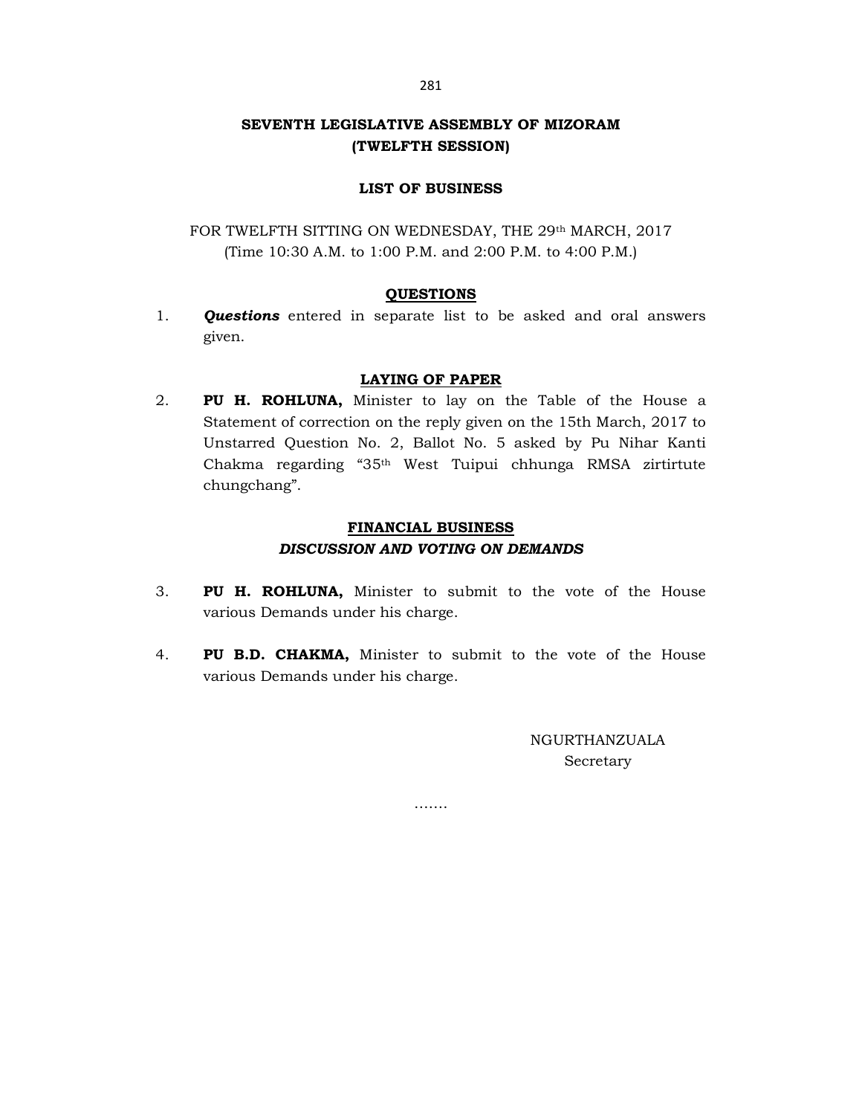# SEVENTH LEGISLATIVE ASSEMBLY OF MIZORAM (TWELFTH SESSION)

### LIST OF BUSINESS

FOR TWELFTH SITTING ON WEDNESDAY, THE 29th MARCH, 2017 (Time 10:30 A.M. to 1:00 P.M. and 2:00 P.M. to 4:00 P.M.)

## **QUESTIONS**

1. **Questions** entered in separate list to be asked and oral answers given.

### LAYING OF PAPER

2. PU H. ROHLUNA, Minister to lay on the Table of the House a Statement of correction on the reply given on the 15th March, 2017 to Unstarred Question No. 2, Ballot No. 5 asked by Pu Nihar Kanti Chakma regarding "35th West Tuipui chhunga RMSA zirtirtute chungchang".

## FINANCIAL BUSINESS DISCUSSION AND VOTING ON DEMANDS

- 3. PU H. ROHLUNA, Minister to submit to the vote of the House various Demands under his charge.
- 4. PU B.D. CHAKMA, Minister to submit to the vote of the House various Demands under his charge.

…….

NGURTHANZUALA Secretary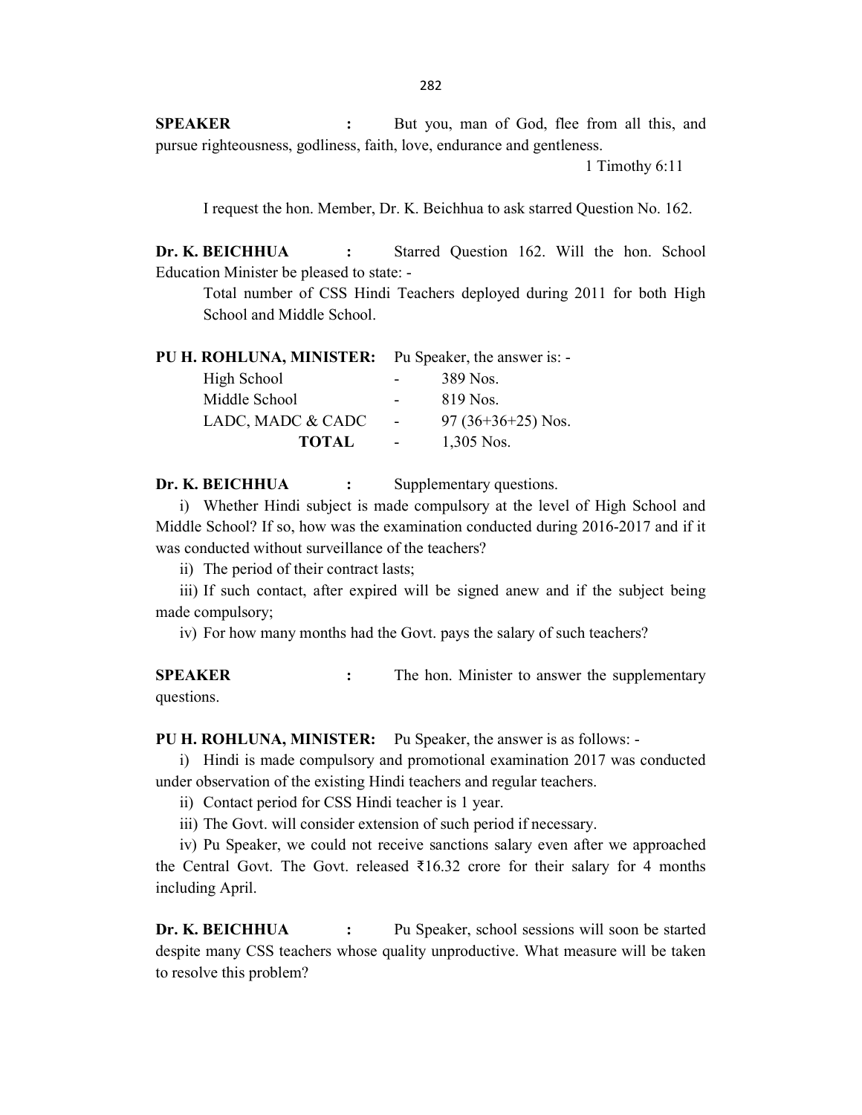SPEAKER : But you, man of God, flee from all this, and pursue righteousness, godliness, faith, love, endurance and gentleness.

1 Timothy 6:11

I request the hon. Member, Dr. K. Beichhua to ask starred Question No. 162.

Dr. K. BEICHHUA : Starred Question 162. Will the hon. School Education Minister be pleased to state: -

 Total number of CSS Hindi Teachers deployed during 2011 for both High School and Middle School.

|  |  | PU H. ROHLUNA, MINISTER: |  | Pu Speaker, the answer is: - |
|--|--|--------------------------|--|------------------------------|
|--|--|--------------------------|--|------------------------------|

| High School       | $\sim$ | 389 Nos.            |
|-------------------|--------|---------------------|
| Middle School     | $\sim$ | 819 Nos.            |
| LADC, MADC & CADC | $\sim$ | $97(36+36+25)$ Nos. |
| <b>TOTAL</b>      | $\sim$ | $1,305$ Nos.        |

Dr. K. BEICHHUA : Supplementary questions.

i) Whether Hindi subject is made compulsory at the level of High School and Middle School? If so, how was the examination conducted during 2016-2017 and if it was conducted without surveillance of the teachers?

ii) The period of their contract lasts;

iii) If such contact, after expired will be signed anew and if the subject being made compulsory;

iv) For how many months had the Govt. pays the salary of such teachers?

SPEAKER : The hon. Minister to answer the supplementary questions.

PU H. ROHLUNA, MINISTER: Pu Speaker, the answer is as follows: -

i) Hindi is made compulsory and promotional examination 2017 was conducted under observation of the existing Hindi teachers and regular teachers.

ii) Contact period for CSS Hindi teacher is 1 year.

iii) The Govt. will consider extension of such period if necessary.

iv) Pu Speaker, we could not receive sanctions salary even after we approached the Central Govt. The Govt. released  $\bar{\xi}$ 16.32 crore for their salary for 4 months including April.

Dr. K. BEICHHUA : Pu Speaker, school sessions will soon be started despite many CSS teachers whose quality unproductive. What measure will be taken to resolve this problem?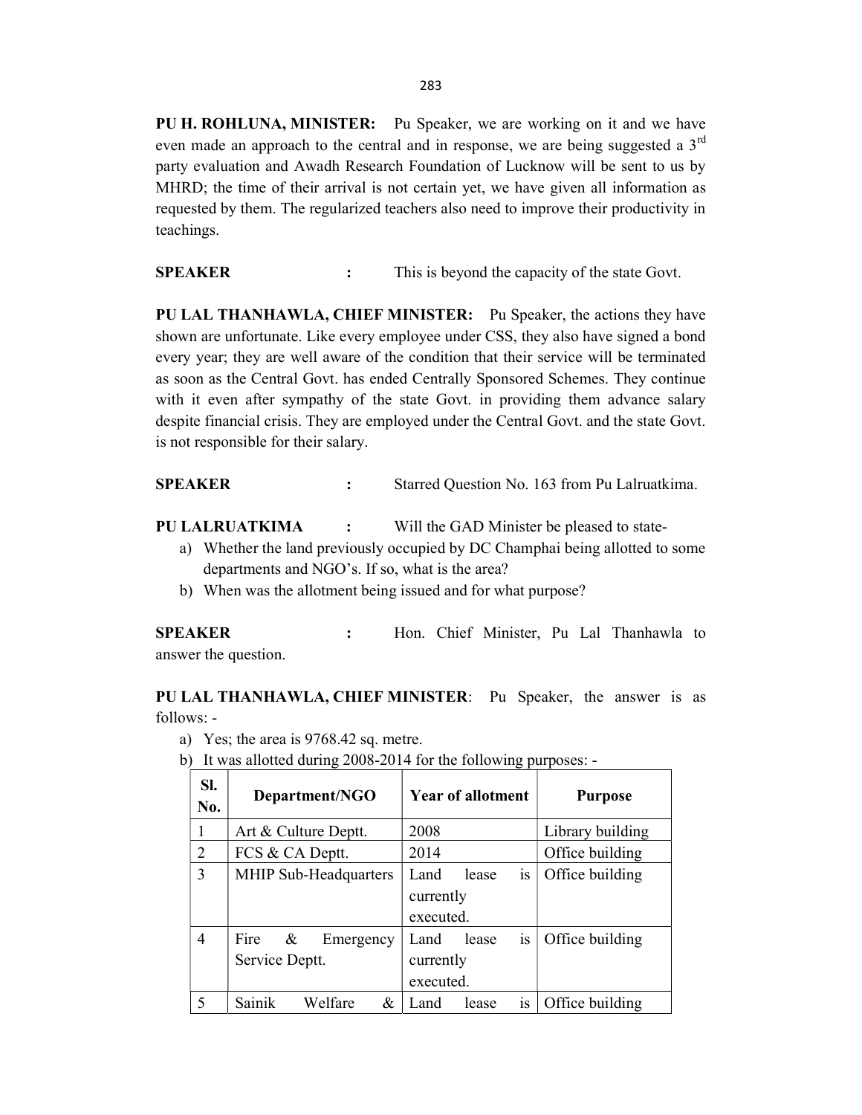PU H. ROHLUNA, MINISTER: Pu Speaker, we are working on it and we have even made an approach to the central and in response, we are being suggested a  $3<sup>rd</sup>$ party evaluation and Awadh Research Foundation of Lucknow will be sent to us by MHRD; the time of their arrival is not certain yet, we have given all information as requested by them. The regularized teachers also need to improve their productivity in teachings.

SPEAKER : This is beyond the capacity of the state Govt.

PU LAL THANHAWLA, CHIEF MINISTER: Pu Speaker, the actions they have shown are unfortunate. Like every employee under CSS, they also have signed a bond every year; they are well aware of the condition that their service will be terminated as soon as the Central Govt. has ended Centrally Sponsored Schemes. They continue with it even after sympathy of the state Govt. in providing them advance salary despite financial crisis. They are employed under the Central Govt. and the state Govt. is not responsible for their salary.

SPEAKER : Starred Question No. 163 from Pu Lalruatkima.

PU LALRUATKIMA : Will the GAD Minister be pleased to state-

- a) Whether the land previously occupied by DC Champhai being allotted to some departments and NGO's. If so, what is the area?
- b) When was the allotment being issued and for what purpose?

SPEAKER : Hon. Chief Minister, Pu Lal Thanhawla to answer the question.

PU LAL THANHAWLA, CHIEF MINISTER: Pu Speaker, the answer is as follows: -

- a) Yes; the area is 9768.42 sq. metre.
- b) It was allotted during 2008-2014 for the following purposes: -

| SI.<br>No.     | Department/NGO                           | <b>Year of allotment</b>                      | <b>Purpose</b>   |
|----------------|------------------------------------------|-----------------------------------------------|------------------|
| 1              | Art & Culture Deptt.                     | 2008                                          | Library building |
| $\overline{2}$ | FCS & CA Deptt.                          | 2014                                          | Office building  |
| 3              | MHIP Sub-Headquarters                    | is<br>Land<br>lease<br>currently<br>executed. | Office building  |
| $\overline{4}$ | Fire<br>&<br>Emergency<br>Service Deptt. | is<br>Land<br>lease<br>currently<br>executed. | Office building  |
| 5              | Welfare<br>Sainik<br>&                   | Land<br>lease<br>1S                           | Office building  |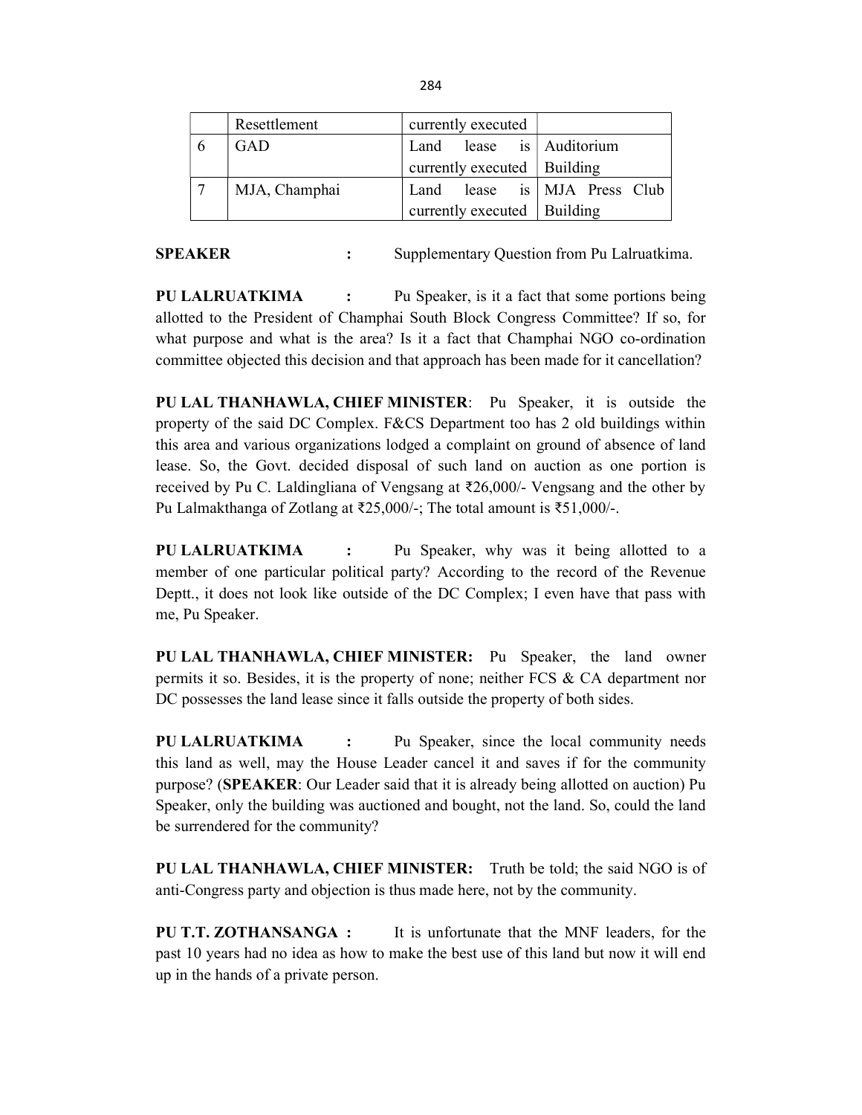|                | Resettlement  | currently executed            |  |
|----------------|---------------|-------------------------------|--|
| $\mathfrak{b}$ | GAD           | Land lease is Auditorium      |  |
|                |               | currently executed   Building |  |
|                | MJA, Champhai | Land lease is MJA Press Club  |  |
|                |               | currently executed   Building |  |

**SPEAKER** : Supplementary Question from Pu Lalruatkima.

PU LALRUATKIMA : Pu Speaker, is it a fact that some portions being allotted to the President of Champhai South Block Congress Committee? If so, for what purpose and what is the area? Is it a fact that Champhai NGO co-ordination committee objected this decision and that approach has been made for it cancellation?

PU LAL THANHAWLA, CHIEF MINISTER: Pu Speaker, it is outside the property of the said DC Complex. F&CS Department too has 2 old buildings within this area and various organizations lodged a complaint on ground of absence of land lease. So, the Govt. decided disposal of such land on auction as one portion is received by Pu C. Laldingliana of Vengsang at ₹26,000/- Vengsang and the other by Pu Lalmakthanga of Zotlang at ₹25,000/-; The total amount is ₹51,000/-.

PU LALRUATKIMA : Pu Speaker, why was it being allotted to a member of one particular political party? According to the record of the Revenue Deptt., it does not look like outside of the DC Complex; I even have that pass with me, Pu Speaker.

PU LAL THANHAWLA, CHIEF MINISTER: Pu Speaker, the land owner permits it so. Besides, it is the property of none; neither FCS & CA department nor DC possesses the land lease since it falls outside the property of both sides.

PU LALRUATKIMA : Pu Speaker, since the local community needs this land as well, may the House Leader cancel it and saves if for the community purpose? (SPEAKER: Our Leader said that it is already being allotted on auction) Pu Speaker, only the building was auctioned and bought, not the land. So, could the land be surrendered for the community?

PU LAL THANHAWLA, CHIEF MINISTER: Truth be told; the said NGO is of anti-Congress party and objection is thus made here, not by the community.

PU T.T. ZOTHANSANGA : It is unfortunate that the MNF leaders, for the past 10 years had no idea as how to make the best use of this land but now it will end up in the hands of a private person.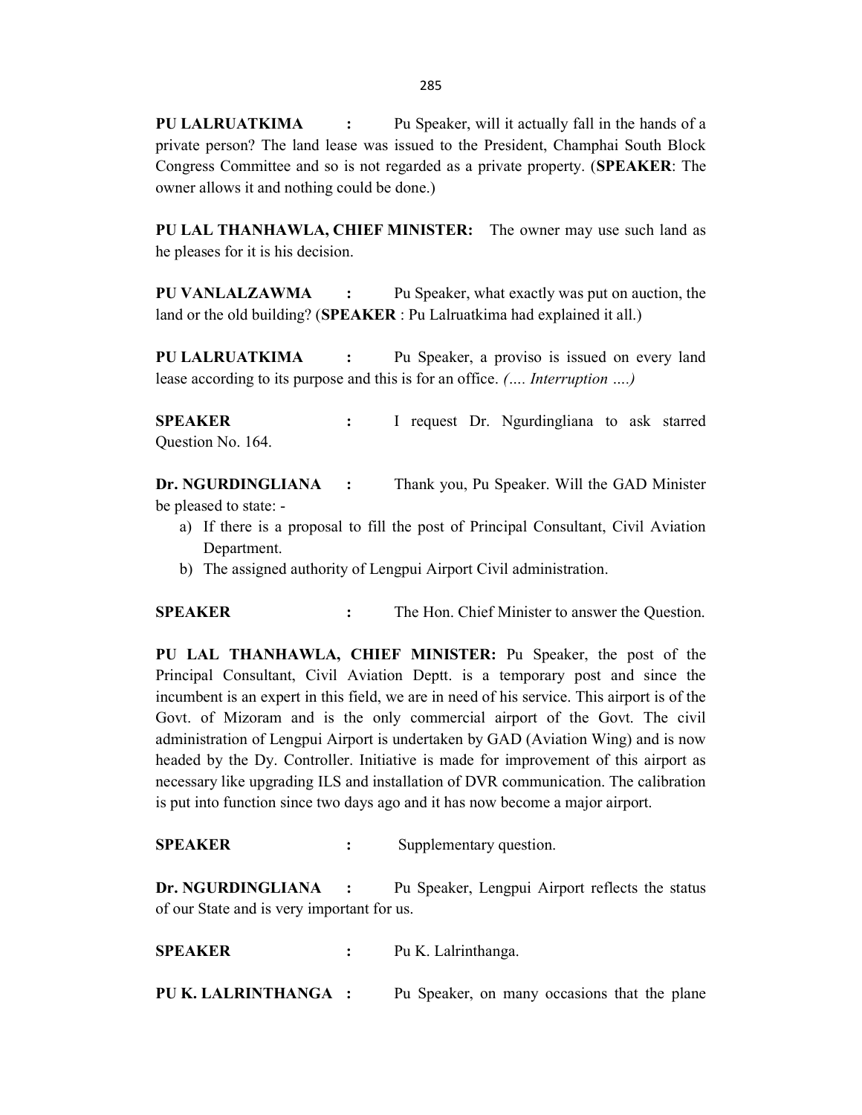PU LALRUATKIMA : Pu Speaker, will it actually fall in the hands of a private person? The land lease was issued to the President, Champhai South Block Congress Committee and so is not regarded as a private property. (SPEAKER: The owner allows it and nothing could be done.)

PU LAL THANHAWLA, CHIEF MINISTER: The owner may use such land as he pleases for it is his decision.

PU VANLALZAWMA : Pu Speaker, what exactly was put on auction, the land or the old building? (SPEAKER : Pu Lalruatkima had explained it all.)

PU LALRUATKIMA : Pu Speaker, a proviso is issued on every land lease according to its purpose and this is for an office. (…. Interruption ….)

SPEAKER : I request Dr. Ngurdingliana to ask starred Question No. 164.

Dr. NGURDINGLIANA : Thank you, Pu Speaker. Will the GAD Minister be pleased to state: -

- a) If there is a proposal to fill the post of Principal Consultant, Civil Aviation Department.
- b) The assigned authority of Lengpui Airport Civil administration.

SPEAKER : The Hon. Chief Minister to answer the Question.

PU LAL THANHAWLA, CHIEF MINISTER: Pu Speaker, the post of the Principal Consultant, Civil Aviation Deptt. is a temporary post and since the incumbent is an expert in this field, we are in need of his service. This airport is of the Govt. of Mizoram and is the only commercial airport of the Govt. The civil administration of Lengpui Airport is undertaken by GAD (Aviation Wing) and is now headed by the Dy. Controller. Initiative is made for improvement of this airport as necessary like upgrading ILS and installation of DVR communication. The calibration is put into function since two days ago and it has now become a major airport.

SPEAKER : Supplementary question.

Dr. NGURDINGLIANA : Pu Speaker, Lengpui Airport reflects the status of our State and is very important for us.

SPEAKER : Pu K. Lalrinthanga.

PU K. LALRINTHANGA : Pu Speaker, on many occasions that the plane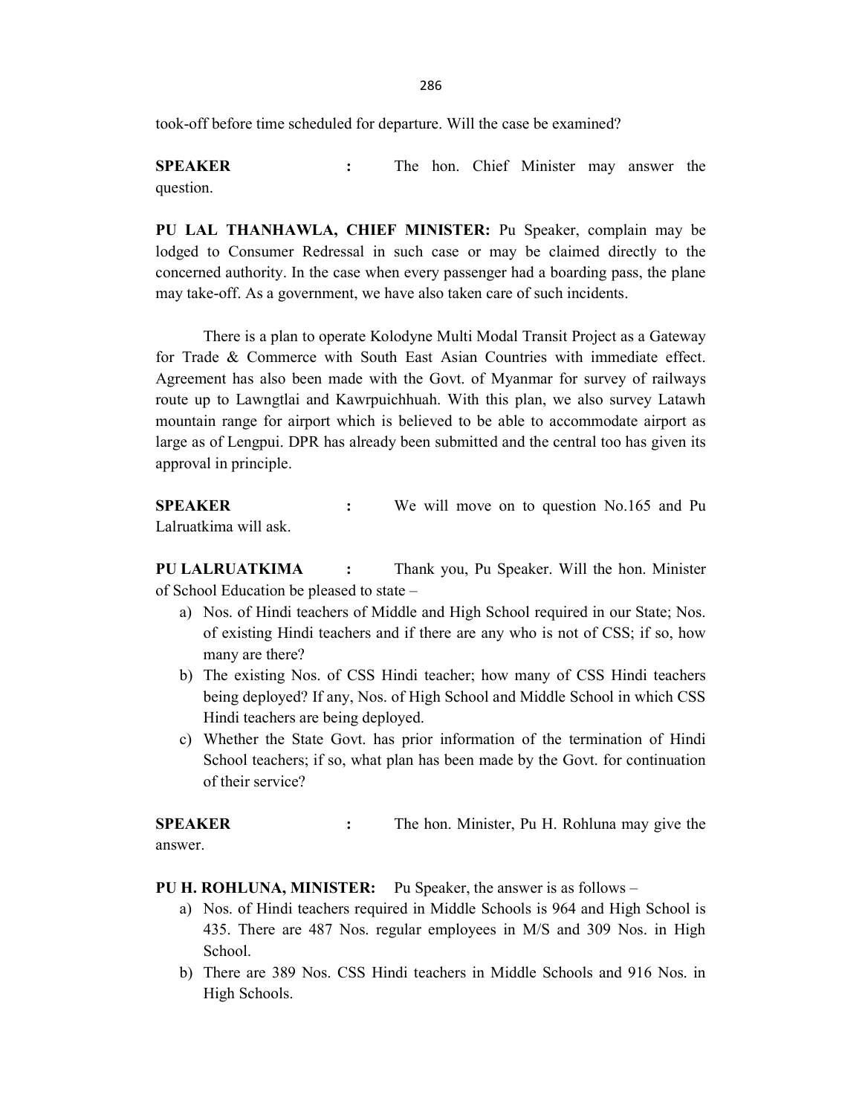286

took-off before time scheduled for departure. Will the case be examined?

SPEAKER : The hon. Chief Minister may answer the question.

PU LAL THANHAWLA, CHIEF MINISTER: Pu Speaker, complain may be lodged to Consumer Redressal in such case or may be claimed directly to the concerned authority. In the case when every passenger had a boarding pass, the plane may take-off. As a government, we have also taken care of such incidents.

 There is a plan to operate Kolodyne Multi Modal Transit Project as a Gateway for Trade & Commerce with South East Asian Countries with immediate effect. Agreement has also been made with the Govt. of Myanmar for survey of railways route up to Lawngtlai and Kawrpuichhuah. With this plan, we also survey Latawh mountain range for airport which is believed to be able to accommodate airport as large as of Lengpui. DPR has already been submitted and the central too has given its approval in principle.

**SPEAKER** : We will move on to question No.165 and Pu Lalruatkima will ask.

PU LALRUATKIMA : Thank you, Pu Speaker. Will the hon. Minister of School Education be pleased to state –

- a) Nos. of Hindi teachers of Middle and High School required in our State; Nos. of existing Hindi teachers and if there are any who is not of CSS; if so, how many are there?
- b) The existing Nos. of CSS Hindi teacher; how many of CSS Hindi teachers being deployed? If any, Nos. of High School and Middle School in which CSS Hindi teachers are being deployed.
- c) Whether the State Govt. has prior information of the termination of Hindi School teachers; if so, what plan has been made by the Govt. for continuation of their service?

SPEAKER : The hon. Minister, Pu H. Rohluna may give the answer.

PU H. ROHLUNA, MINISTER: Pu Speaker, the answer is as follows –

- a) Nos. of Hindi teachers required in Middle Schools is 964 and High School is 435. There are 487 Nos. regular employees in M/S and 309 Nos. in High School.
- b) There are 389 Nos. CSS Hindi teachers in Middle Schools and 916 Nos. in High Schools.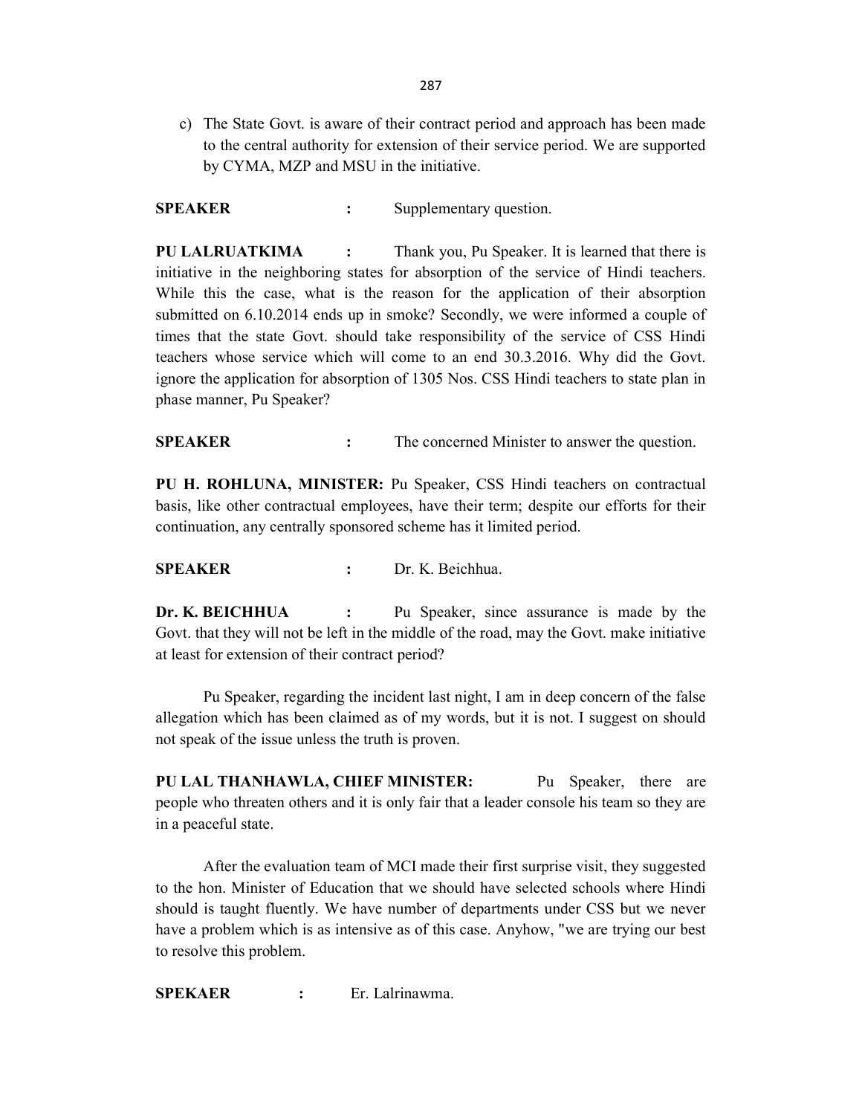c) The State Govt. is aware of their contract period and approach has been made to the central authority for extension of their service period. We are supported by CYMA, MZP and MSU in the initiative.

SPEAKER : Supplementary question.

PU LALRUATKIMA : Thank you, Pu Speaker. It is learned that there is initiative in the neighboring states for absorption of the service of Hindi teachers. While this the case, what is the reason for the application of their absorption submitted on 6.10.2014 ends up in smoke? Secondly, we were informed a couple of times that the state Govt. should take responsibility of the service of CSS Hindi teachers whose service which will come to an end 30.3.2016. Why did the Govt. ignore the application for absorption of 1305 Nos. CSS Hindi teachers to state plan in phase manner, Pu Speaker?

**SPEAKER** : The concerned Minister to answer the question.

PU H. ROHLUNA, MINISTER: Pu Speaker, CSS Hindi teachers on contractual basis, like other contractual employees, have their term; despite our efforts for their continuation, any centrally sponsored scheme has it limited period.

SPEAKER : Dr. K. Beichhua.

Dr. K. BEICHHUA : Pu Speaker, since assurance is made by the Govt. that they will not be left in the middle of the road, may the Govt. make initiative at least for extension of their contract period?

 Pu Speaker, regarding the incident last night, I am in deep concern of the false allegation which has been claimed as of my words, but it is not. I suggest on should not speak of the issue unless the truth is proven.

PU LAL THANHAWLA, CHIEF MINISTER: Pu Speaker, there are people who threaten others and it is only fair that a leader console his team so they are in a peaceful state.

 After the evaluation team of MCI made their first surprise visit, they suggested to the hon. Minister of Education that we should have selected schools where Hindi should is taught fluently. We have number of departments under CSS but we never have a problem which is as intensive as of this case. Anyhow, "we are trying our best to resolve this problem.

SPEKAER : Er. Lalrinawma.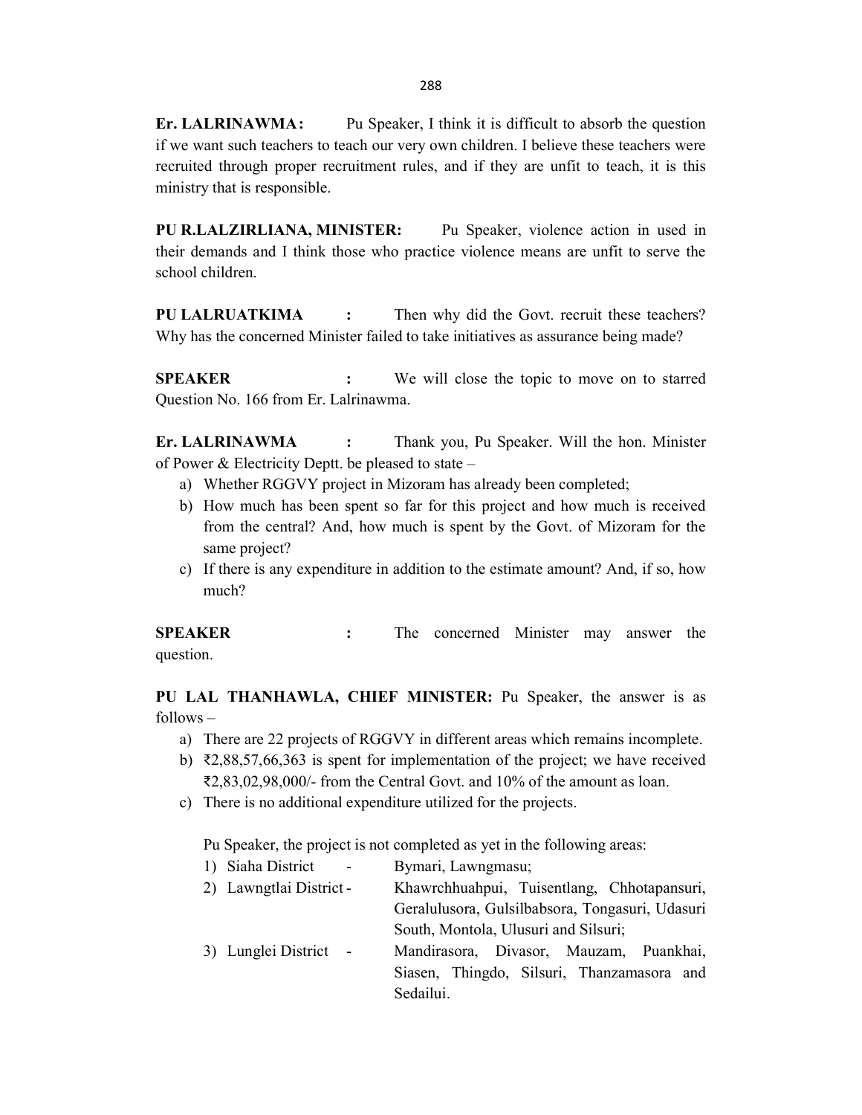Er. LALRINAWMA: Pu Speaker, I think it is difficult to absorb the question if we want such teachers to teach our very own children. I believe these teachers were recruited through proper recruitment rules, and if they are unfit to teach, it is this ministry that is responsible.

PU R.LALZIRLIANA, MINISTER: Pu Speaker, violence action in used in their demands and I think those who practice violence means are unfit to serve the school children.

PU LALRUATKIMA : Then why did the Govt. recruit these teachers? Why has the concerned Minister failed to take initiatives as assurance being made?

SPEAKER : We will close the topic to move on to starred Question No. 166 from Er. Lalrinawma.

Er. LALRINAWMA : Thank you, Pu Speaker. Will the hon. Minister of Power & Electricity Deptt. be pleased to state –

- a) Whether RGGVY project in Mizoram has already been completed;
- b) How much has been spent so far for this project and how much is received from the central? And, how much is spent by the Govt. of Mizoram for the same project?
- c) If there is any expenditure in addition to the estimate amount? And, if so, how much?

SPEAKER : The concerned Minister may answer the question.

PU LAL THANHAWLA, CHIEF MINISTER: Pu Speaker, the answer is as follows –

- a) There are 22 projects of RGGVY in different areas which remains incomplete.
- b)  $\overline{2,88,57,66,363}$  is spent for implementation of the project; we have received ₹2,83,02,98,000/- from the Central Govt. and 10% of the amount as loan.
- c) There is no additional expenditure utilized for the projects.

Pu Speaker, the project is not completed as yet in the following areas:

| 1) Siaha District<br>$\sim$ $-$ | Bymari, Lawngmasu;                              |
|---------------------------------|-------------------------------------------------|
| 2) Lawngtlai District -         | Khawrchhuahpui, Tuisentlang, Chhotapansuri,     |
|                                 | Geralulusora, Gulsilbabsora, Tongasuri, Udasuri |
|                                 | South, Montola, Ulusuri and Silsuri;            |
| 3) Lunglei District -           | Mandirasora, Divasor, Mauzam, Puankhai,         |
|                                 | Siasen, Thingdo, Silsuri, Thanzamasora and      |
|                                 | Sedailui.                                       |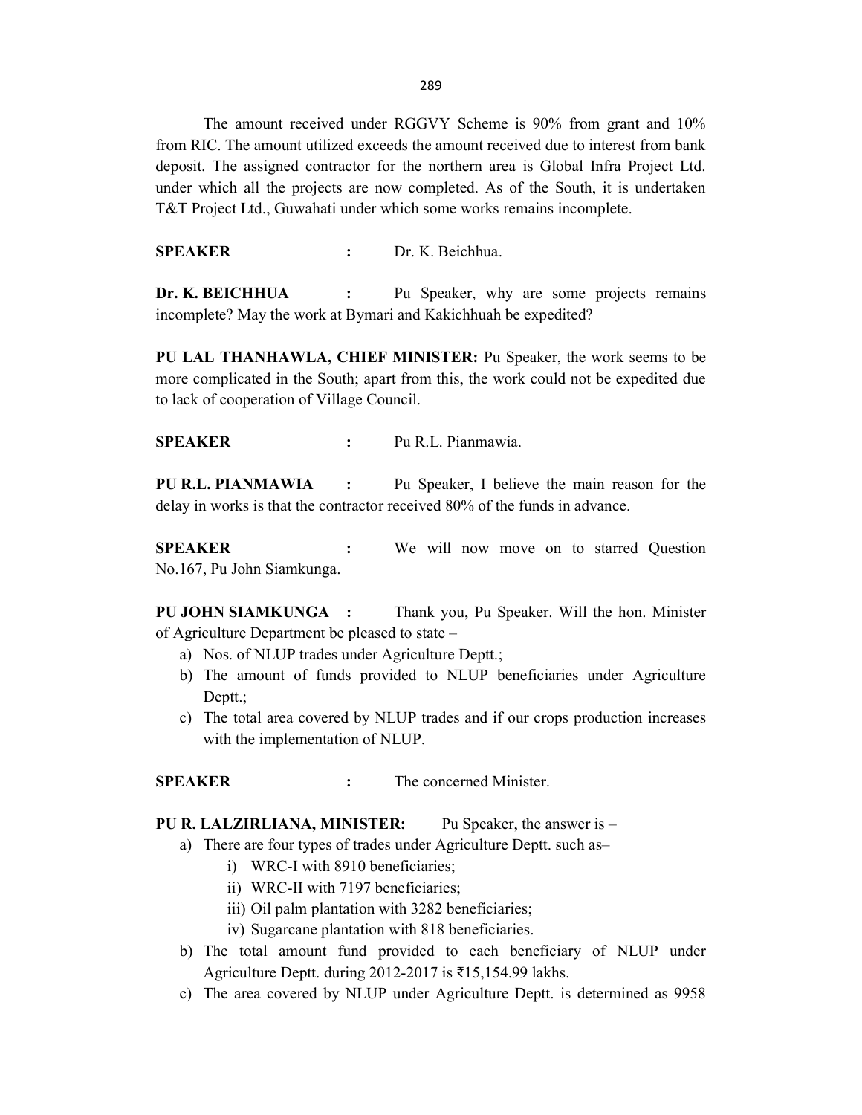289

 The amount received under RGGVY Scheme is 90% from grant and 10% from RIC. The amount utilized exceeds the amount received due to interest from bank deposit. The assigned contractor for the northern area is Global Infra Project Ltd. under which all the projects are now completed. As of the South, it is undertaken T&T Project Ltd., Guwahati under which some works remains incomplete.

SPEAKER : Dr. K. Beichhua.

Dr. K. BEICHHUA : Pu Speaker, why are some projects remains incomplete? May the work at Bymari and Kakichhuah be expedited?

PU LAL THANHAWLA, CHIEF MINISTER: Pu Speaker, the work seems to be more complicated in the South; apart from this, the work could not be expedited due to lack of cooperation of Village Council.

SPEAKER : Pu R.L. Pianmawia.

PU R.L. PIANMAWIA : Pu Speaker, I believe the main reason for the delay in works is that the contractor received 80% of the funds in advance.

SPEAKER : We will now move on to starred Question No.167, Pu John Siamkunga.

PU JOHN SIAMKUNGA : Thank you, Pu Speaker. Will the hon. Minister of Agriculture Department be pleased to state –

- a) Nos. of NLUP trades under Agriculture Deptt.;
- b) The amount of funds provided to NLUP beneficiaries under Agriculture Deptt.;
- c) The total area covered by NLUP trades and if our crops production increases with the implementation of NLUP.

SPEAKER : The concerned Minister.

PU R. LALZIRLIANA, MINISTER: Pu Speaker, the answer is –

- a) There are four types of trades under Agriculture Deptt. such as–
	- i) WRC-I with 8910 beneficiaries;
	- ii) WRC-II with 7197 beneficiaries;
	- iii) Oil palm plantation with 3282 beneficiaries;
	- iv) Sugarcane plantation with 818 beneficiaries.
- b) The total amount fund provided to each beneficiary of NLUP under Agriculture Deptt. during 2012-2017 is ₹15,154.99 lakhs.
- c) The area covered by NLUP under Agriculture Deptt. is determined as 9958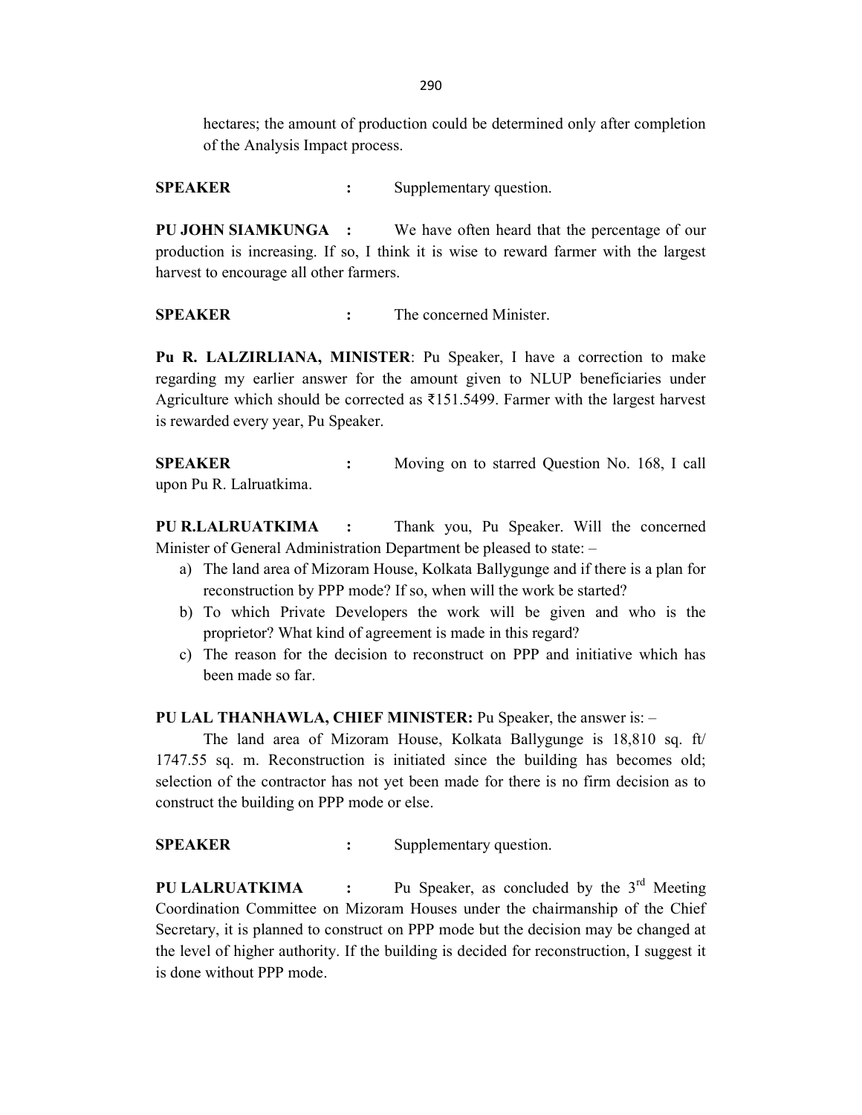290

hectares; the amount of production could be determined only after completion of the Analysis Impact process.

SPEAKER : Supplementary question.

PU JOHN SIAMKUNGA : We have often heard that the percentage of our production is increasing. If so, I think it is wise to reward farmer with the largest harvest to encourage all other farmers.

SPEAKER : The concerned Minister.

Pu R. LALZIRLIANA, MINISTER: Pu Speaker, I have a correction to make regarding my earlier answer for the amount given to NLUP beneficiaries under Agriculture which should be corrected as  $\text{\textless} 151.5499$ . Farmer with the largest harvest is rewarded every year, Pu Speaker.

SPEAKER : Moving on to starred Question No. 168, I call upon Pu R. Lalruatkima.

PU R.LALRUATKIMA : Thank you, Pu Speaker. Will the concerned Minister of General Administration Department be pleased to state: –

- a) The land area of Mizoram House, Kolkata Ballygunge and if there is a plan for reconstruction by PPP mode? If so, when will the work be started?
- b) To which Private Developers the work will be given and who is the proprietor? What kind of agreement is made in this regard?
- c) The reason for the decision to reconstruct on PPP and initiative which has been made so far.

PU LAL THANHAWLA, CHIEF MINISTER: Pu Speaker, the answer is: –

 The land area of Mizoram House, Kolkata Ballygunge is 18,810 sq. ft/ 1747.55 sq. m. Reconstruction is initiated since the building has becomes old; selection of the contractor has not yet been made for there is no firm decision as to construct the building on PPP mode or else.

SPEAKER : Supplementary question.

**PU LALRUATKIMA** : Pu Speaker, as concluded by the  $3<sup>rd</sup>$  Meeting Coordination Committee on Mizoram Houses under the chairmanship of the Chief Secretary, it is planned to construct on PPP mode but the decision may be changed at the level of higher authority. If the building is decided for reconstruction, I suggest it is done without PPP mode.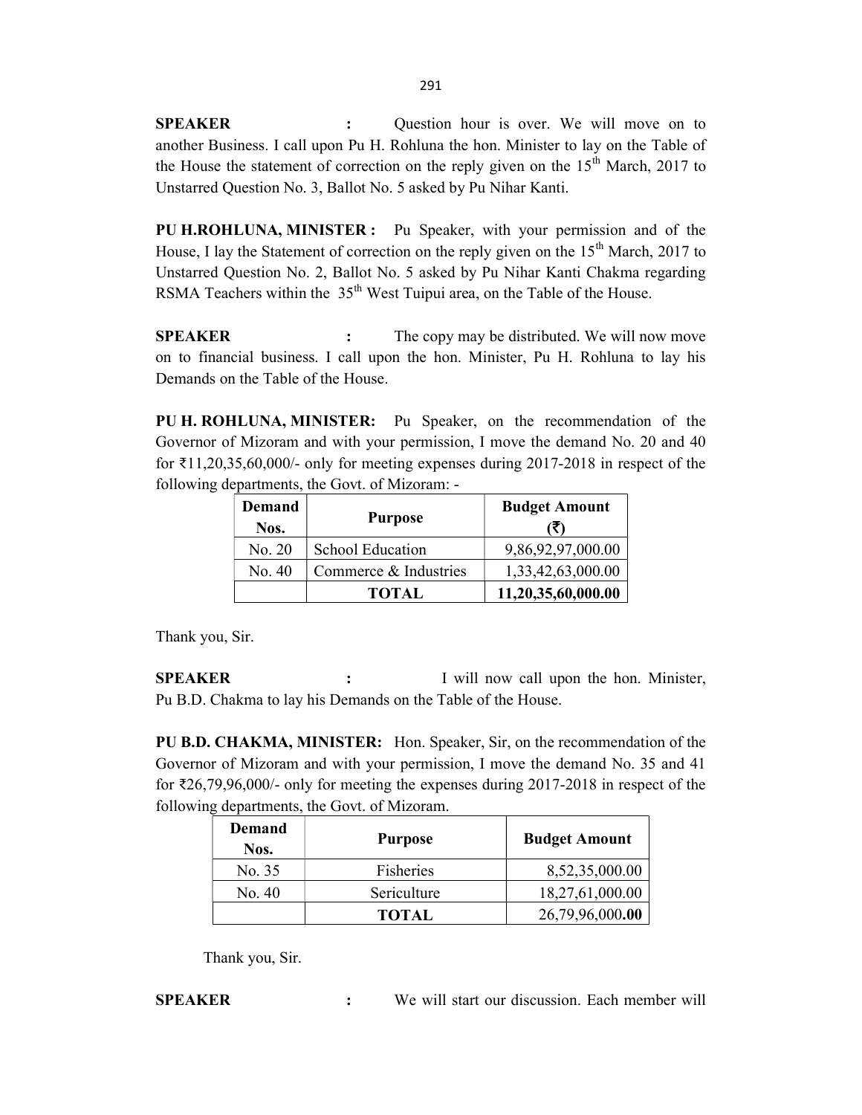SPEAKER : Question hour is over. We will move on to another Business. I call upon Pu H. Rohluna the hon. Minister to lay on the Table of the House the statement of correction on the reply given on the  $15<sup>th</sup>$  March, 2017 to Unstarred Question No. 3, Ballot No. 5 asked by Pu Nihar Kanti.

PU H.ROHLUNA, MINISTER : Pu Speaker, with your permission and of the House, I lay the Statement of correction on the reply given on the  $15<sup>th</sup>$  March, 2017 to Unstarred Question No. 2, Ballot No. 5 asked by Pu Nihar Kanti Chakma regarding RSMA Teachers within the  $35<sup>th</sup>$  West Tuipui area, on the Table of the House.

SPEAKER : The copy may be distributed. We will now move on to financial business. I call upon the hon. Minister, Pu H. Rohluna to lay his Demands on the Table of the House.

PU H. ROHLUNA, MINISTER: Pu Speaker, on the recommendation of the Governor of Mizoram and with your permission, I move the demand No. 20 and 40 for ₹11,20,35,60,000/- only for meeting expenses during 2017-2018 in respect of the following departments, the Govt. of Mizoram: -

| <b>Demand</b><br>Nos. | <b>Purpose</b>          | <b>Budget Amount</b> |
|-----------------------|-------------------------|----------------------|
| No. 20                | <b>School Education</b> | 9,86,92,97,000.00    |
| No. 40                | Commerce & Industries   | 1,33,42,63,000.00    |
|                       | <b>TOTAL</b>            | 11,20,35,60,000.00   |

Thank you, Sir.

**SPEAKER** : I will now call upon the hon. Minister, Pu B.D. Chakma to lay his Demands on the Table of the House.

PU B.D. CHAKMA, MINISTER: Hon. Speaker, Sir, on the recommendation of the Governor of Mizoram and with your permission, I move the demand No. 35 and 41 for ₹26,79,96,000/- only for meeting the expenses during 2017-2018 in respect of the following departments, the Govt. of Mizoram.

| Demand<br>Nos. | <b>Purpose</b> | <b>Budget Amount</b> |
|----------------|----------------|----------------------|
| No. 35         | Fisheries      | 8,52,35,000.00       |
| No. 40         | Sericulture    | 18,27,61,000.00      |
|                | <b>TOTAL</b>   | 26,79,96,000.00      |

Thank you, Sir.

SPEAKER : We will start our discussion. Each member will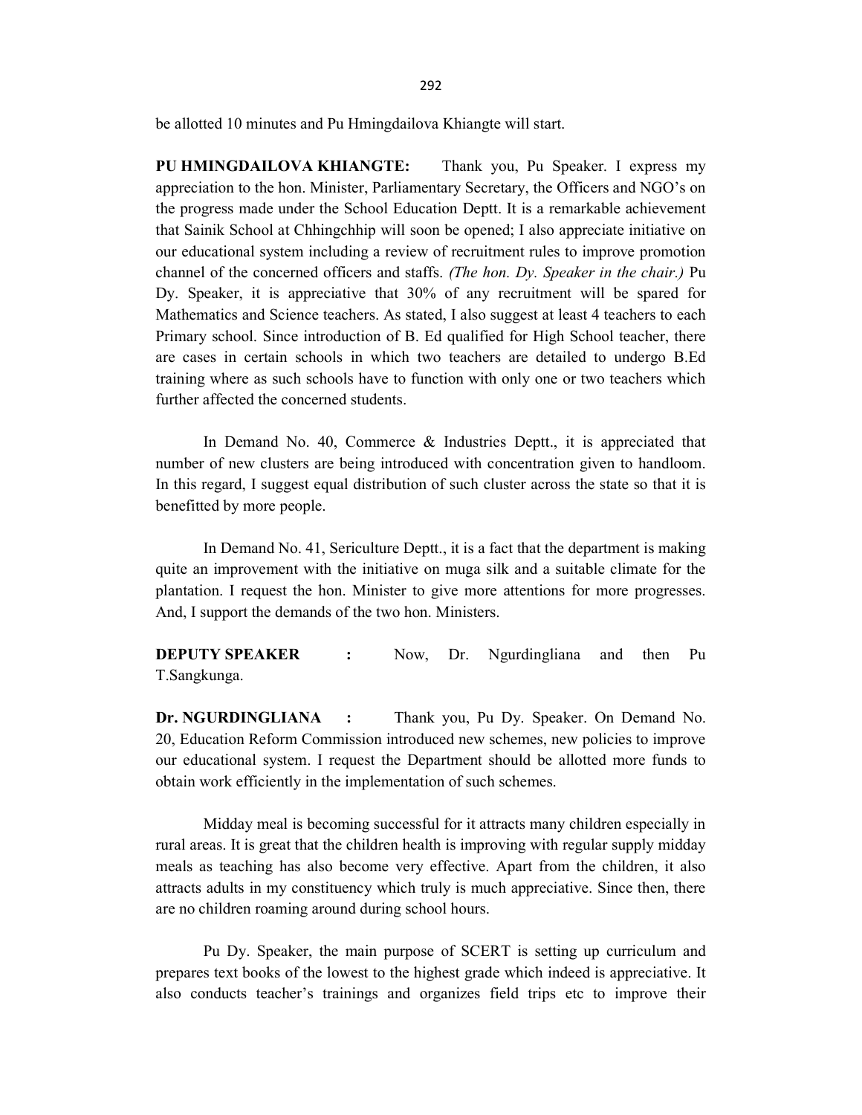be allotted 10 minutes and Pu Hmingdailova Khiangte will start.

PU HMINGDAILOVA KHIANGTE: Thank you, Pu Speaker. I express my appreciation to the hon. Minister, Parliamentary Secretary, the Officers and NGO's on the progress made under the School Education Deptt. It is a remarkable achievement that Sainik School at Chhingchhip will soon be opened; I also appreciate initiative on our educational system including a review of recruitment rules to improve promotion channel of the concerned officers and staffs. (The hon. Dy. Speaker in the chair.) Pu Dy. Speaker, it is appreciative that 30% of any recruitment will be spared for Mathematics and Science teachers. As stated, I also suggest at least 4 teachers to each Primary school. Since introduction of B. Ed qualified for High School teacher, there are cases in certain schools in which two teachers are detailed to undergo B.Ed training where as such schools have to function with only one or two teachers which further affected the concerned students.

 In Demand No. 40, Commerce & Industries Deptt., it is appreciated that number of new clusters are being introduced with concentration given to handloom. In this regard, I suggest equal distribution of such cluster across the state so that it is benefitted by more people.

 In Demand No. 41, Sericulture Deptt., it is a fact that the department is making quite an improvement with the initiative on muga silk and a suitable climate for the plantation. I request the hon. Minister to give more attentions for more progresses. And, I support the demands of the two hon. Ministers.

**DEPUTY SPEAKER** : Now, Dr. Ngurdingliana and then Pu T.Sangkunga.

Dr. NGURDINGLIANA : Thank you, Pu Dy. Speaker. On Demand No. 20, Education Reform Commission introduced new schemes, new policies to improve our educational system. I request the Department should be allotted more funds to obtain work efficiently in the implementation of such schemes.

 Midday meal is becoming successful for it attracts many children especially in rural areas. It is great that the children health is improving with regular supply midday meals as teaching has also become very effective. Apart from the children, it also attracts adults in my constituency which truly is much appreciative. Since then, there are no children roaming around during school hours.

 Pu Dy. Speaker, the main purpose of SCERT is setting up curriculum and prepares text books of the lowest to the highest grade which indeed is appreciative. It also conducts teacher's trainings and organizes field trips etc to improve their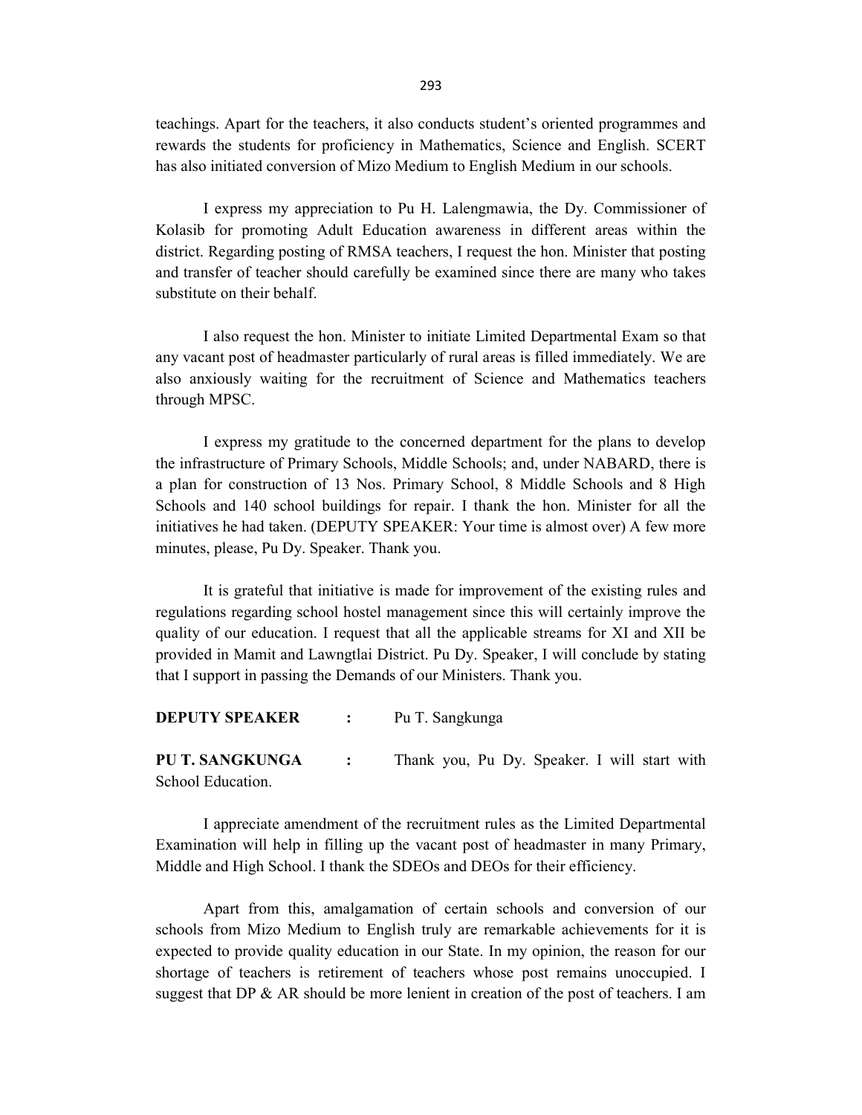teachings. Apart for the teachers, it also conducts student's oriented programmes and rewards the students for proficiency in Mathematics, Science and English. SCERT has also initiated conversion of Mizo Medium to English Medium in our schools.

 I express my appreciation to Pu H. Lalengmawia, the Dy. Commissioner of Kolasib for promoting Adult Education awareness in different areas within the district. Regarding posting of RMSA teachers, I request the hon. Minister that posting and transfer of teacher should carefully be examined since there are many who takes substitute on their behalf.

 I also request the hon. Minister to initiate Limited Departmental Exam so that any vacant post of headmaster particularly of rural areas is filled immediately. We are also anxiously waiting for the recruitment of Science and Mathematics teachers through MPSC.

 I express my gratitude to the concerned department for the plans to develop the infrastructure of Primary Schools, Middle Schools; and, under NABARD, there is a plan for construction of 13 Nos. Primary School, 8 Middle Schools and 8 High Schools and 140 school buildings for repair. I thank the hon. Minister for all the initiatives he had taken. (DEPUTY SPEAKER: Your time is almost over) A few more minutes, please, Pu Dy. Speaker. Thank you.

 It is grateful that initiative is made for improvement of the existing rules and regulations regarding school hostel management since this will certainly improve the quality of our education. I request that all the applicable streams for XI and XII be provided in Mamit and Lawngtlai District. Pu Dy. Speaker, I will conclude by stating that I support in passing the Demands of our Ministers. Thank you.

| <b>DEPUTY SPEAKER :</b> | Pu T. Sangkunga                              |
|-------------------------|----------------------------------------------|
| PU T. SANGKUNGA :       | Thank you, Pu Dy. Speaker. I will start with |
| School Education.       |                                              |

 I appreciate amendment of the recruitment rules as the Limited Departmental Examination will help in filling up the vacant post of headmaster in many Primary, Middle and High School. I thank the SDEOs and DEOs for their efficiency.

 Apart from this, amalgamation of certain schools and conversion of our schools from Mizo Medium to English truly are remarkable achievements for it is expected to provide quality education in our State. In my opinion, the reason for our shortage of teachers is retirement of teachers whose post remains unoccupied. I suggest that DP  $\&$  AR should be more lenient in creation of the post of teachers. I am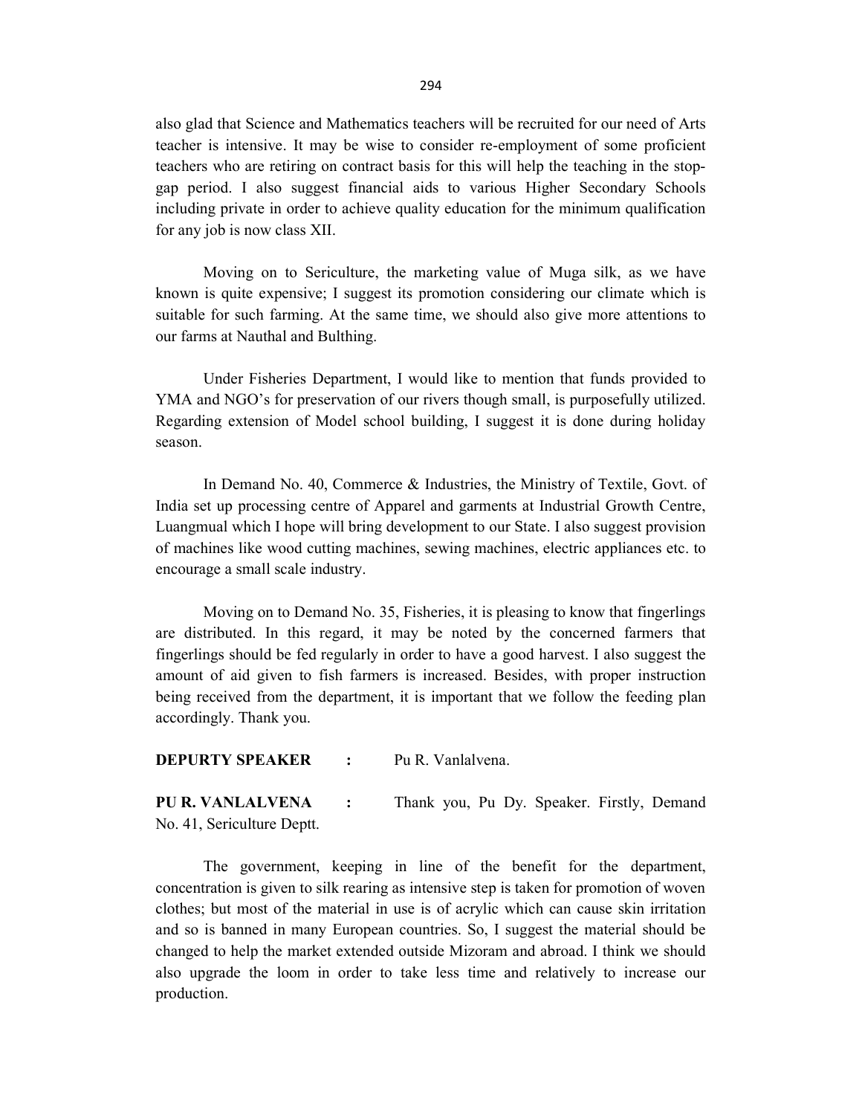also glad that Science and Mathematics teachers will be recruited for our need of Arts teacher is intensive. It may be wise to consider re-employment of some proficient teachers who are retiring on contract basis for this will help the teaching in the stopgap period. I also suggest financial aids to various Higher Secondary Schools including private in order to achieve quality education for the minimum qualification for any job is now class XII.

 Moving on to Sericulture, the marketing value of Muga silk, as we have known is quite expensive; I suggest its promotion considering our climate which is suitable for such farming. At the same time, we should also give more attentions to our farms at Nauthal and Bulthing.

 Under Fisheries Department, I would like to mention that funds provided to YMA and NGO's for preservation of our rivers though small, is purposefully utilized. Regarding extension of Model school building, I suggest it is done during holiday season.

 In Demand No. 40, Commerce & Industries, the Ministry of Textile, Govt. of India set up processing centre of Apparel and garments at Industrial Growth Centre, Luangmual which I hope will bring development to our State. I also suggest provision of machines like wood cutting machines, sewing machines, electric appliances etc. to encourage a small scale industry.

 Moving on to Demand No. 35, Fisheries, it is pleasing to know that fingerlings are distributed. In this regard, it may be noted by the concerned farmers that fingerlings should be fed regularly in order to have a good harvest. I also suggest the amount of aid given to fish farmers is increased. Besides, with proper instruction being received from the department, it is important that we follow the feeding plan accordingly. Thank you.

DEPURTY SPEAKER : Pu R. Vanlalvena.

PU R. VANLALVENA : Thank you, Pu Dy. Speaker. Firstly, Demand No. 41, Sericulture Deptt.

 The government, keeping in line of the benefit for the department, concentration is given to silk rearing as intensive step is taken for promotion of woven clothes; but most of the material in use is of acrylic which can cause skin irritation and so is banned in many European countries. So, I suggest the material should be changed to help the market extended outside Mizoram and abroad. I think we should also upgrade the loom in order to take less time and relatively to increase our production.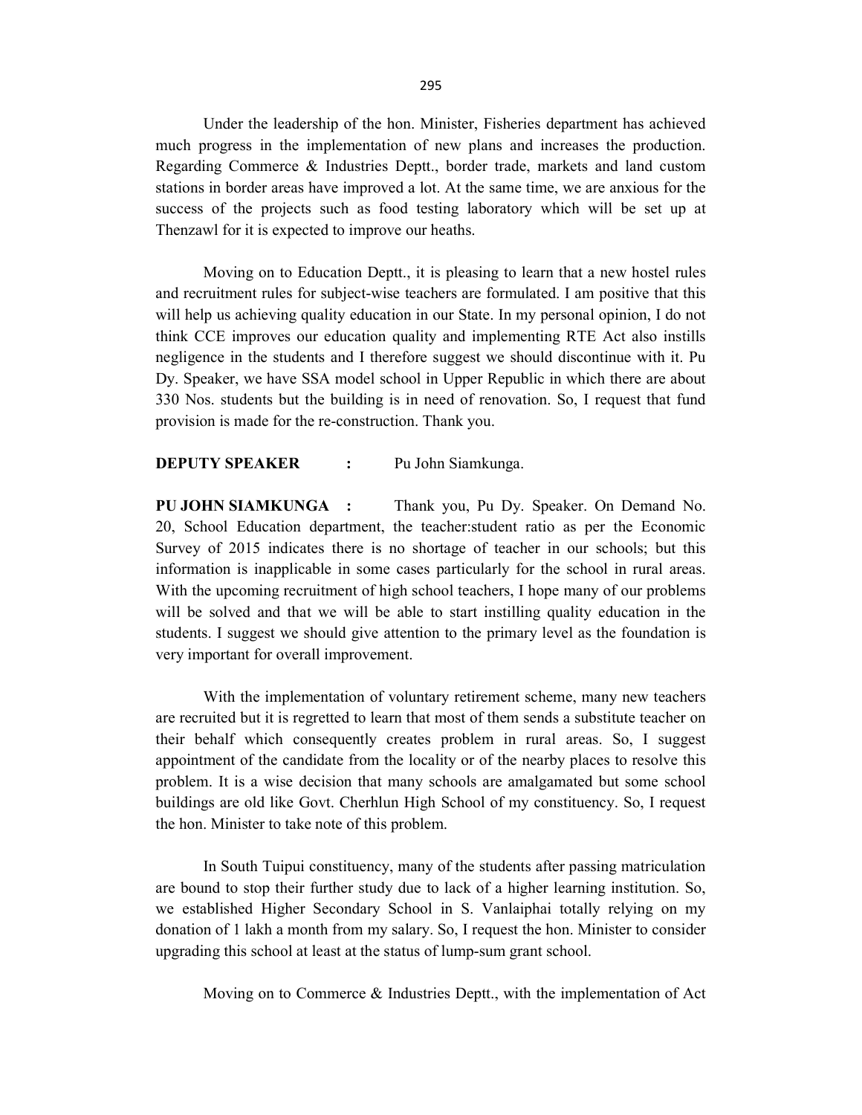Under the leadership of the hon. Minister, Fisheries department has achieved much progress in the implementation of new plans and increases the production. Regarding Commerce & Industries Deptt., border trade, markets and land custom stations in border areas have improved a lot. At the same time, we are anxious for the success of the projects such as food testing laboratory which will be set up at Thenzawl for it is expected to improve our heaths.

 Moving on to Education Deptt., it is pleasing to learn that a new hostel rules and recruitment rules for subject-wise teachers are formulated. I am positive that this will help us achieving quality education in our State. In my personal opinion, I do not think CCE improves our education quality and implementing RTE Act also instills negligence in the students and I therefore suggest we should discontinue with it. Pu Dy. Speaker, we have SSA model school in Upper Republic in which there are about 330 Nos. students but the building is in need of renovation. So, I request that fund provision is made for the re-construction. Thank you.

#### **DEPUTY SPEAKER :** Pu John Siamkunga.

PU JOHN SIAMKUNGA : Thank you, Pu Dy. Speaker. On Demand No. 20, School Education department, the teacher:student ratio as per the Economic Survey of 2015 indicates there is no shortage of teacher in our schools; but this information is inapplicable in some cases particularly for the school in rural areas. With the upcoming recruitment of high school teachers, I hope many of our problems will be solved and that we will be able to start instilling quality education in the students. I suggest we should give attention to the primary level as the foundation is very important for overall improvement.

 With the implementation of voluntary retirement scheme, many new teachers are recruited but it is regretted to learn that most of them sends a substitute teacher on their behalf which consequently creates problem in rural areas. So, I suggest appointment of the candidate from the locality or of the nearby places to resolve this problem. It is a wise decision that many schools are amalgamated but some school buildings are old like Govt. Cherhlun High School of my constituency. So, I request the hon. Minister to take note of this problem.

 In South Tuipui constituency, many of the students after passing matriculation are bound to stop their further study due to lack of a higher learning institution. So, we established Higher Secondary School in S. Vanlaiphai totally relying on my donation of 1 lakh a month from my salary. So, I request the hon. Minister to consider upgrading this school at least at the status of lump-sum grant school.

Moving on to Commerce & Industries Deptt., with the implementation of Act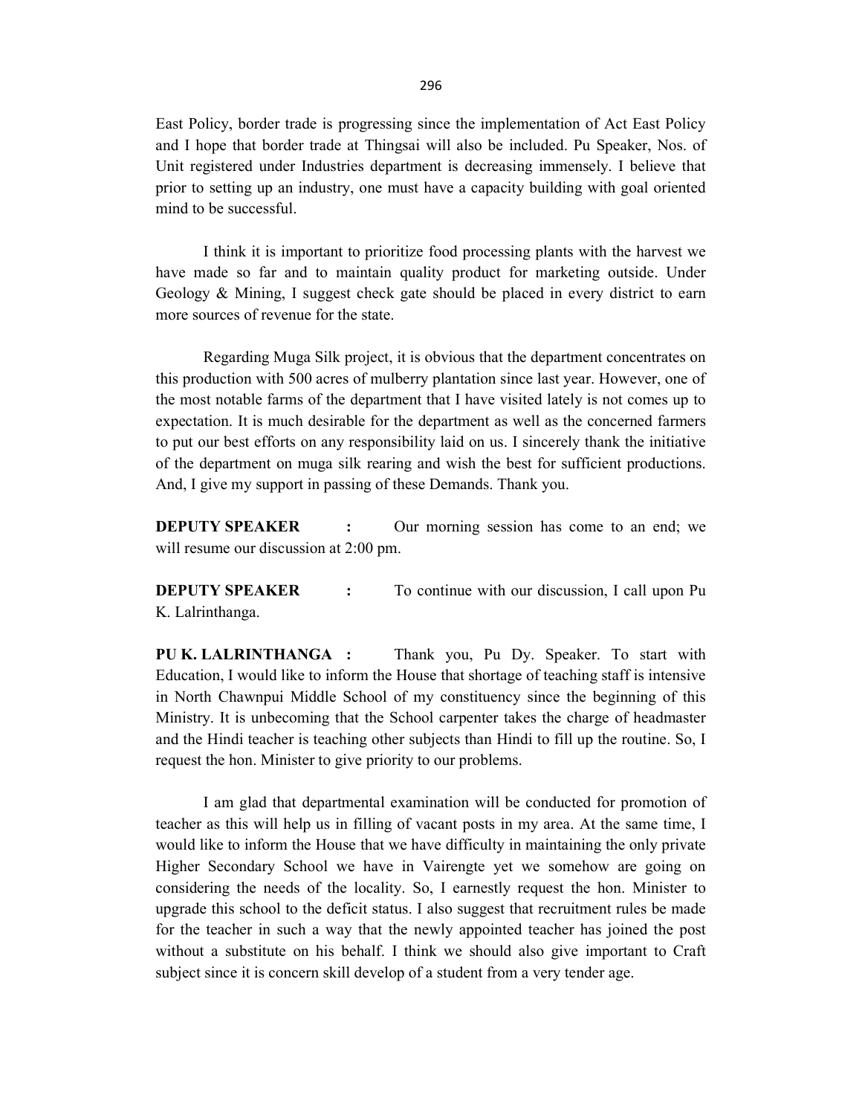East Policy, border trade is progressing since the implementation of Act East Policy and I hope that border trade at Thingsai will also be included. Pu Speaker, Nos. of Unit registered under Industries department is decreasing immensely. I believe that prior to setting up an industry, one must have a capacity building with goal oriented mind to be successful.

 I think it is important to prioritize food processing plants with the harvest we have made so far and to maintain quality product for marketing outside. Under Geology & Mining, I suggest check gate should be placed in every district to earn more sources of revenue for the state.

 Regarding Muga Silk project, it is obvious that the department concentrates on this production with 500 acres of mulberry plantation since last year. However, one of the most notable farms of the department that I have visited lately is not comes up to expectation. It is much desirable for the department as well as the concerned farmers to put our best efforts on any responsibility laid on us. I sincerely thank the initiative of the department on muga silk rearing and wish the best for sufficient productions. And, I give my support in passing of these Demands. Thank you.

**DEPUTY SPEAKER** : Our morning session has come to an end; we will resume our discussion at 2:00 pm.

**DEPUTY SPEAKER** : To continue with our discussion, I call upon Pu K. Lalrinthanga.

PU K. LALRINTHANGA : Thank you, Pu Dy. Speaker. To start with Education, I would like to inform the House that shortage of teaching staff is intensive in North Chawnpui Middle School of my constituency since the beginning of this Ministry. It is unbecoming that the School carpenter takes the charge of headmaster and the Hindi teacher is teaching other subjects than Hindi to fill up the routine. So, I request the hon. Minister to give priority to our problems.

 I am glad that departmental examination will be conducted for promotion of teacher as this will help us in filling of vacant posts in my area. At the same time, I would like to inform the House that we have difficulty in maintaining the only private Higher Secondary School we have in Vairengte yet we somehow are going on considering the needs of the locality. So, I earnestly request the hon. Minister to upgrade this school to the deficit status. I also suggest that recruitment rules be made for the teacher in such a way that the newly appointed teacher has joined the post without a substitute on his behalf. I think we should also give important to Craft subject since it is concern skill develop of a student from a very tender age.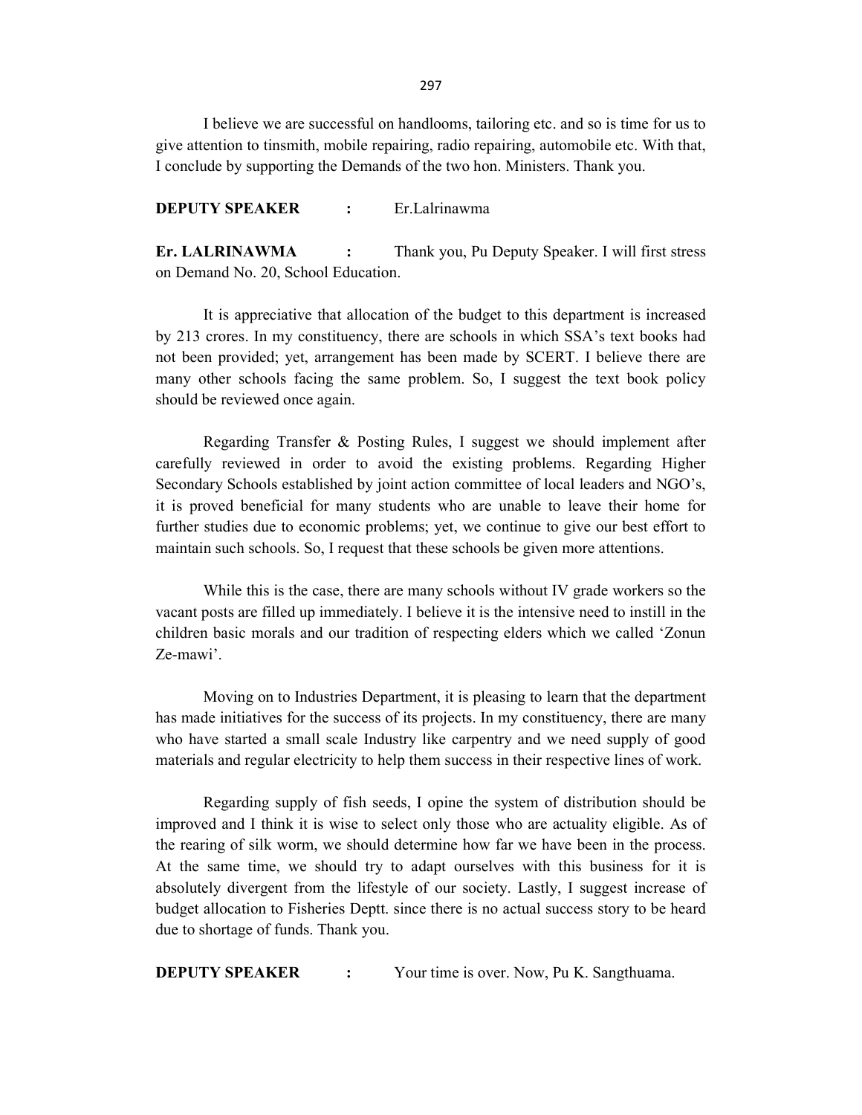I believe we are successful on handlooms, tailoring etc. and so is time for us to give attention to tinsmith, mobile repairing, radio repairing, automobile etc. With that, I conclude by supporting the Demands of the two hon. Ministers. Thank you.

DEPUTY SPEAKER : Er.Lalrinawma

Er. LALRINAWMA : Thank you, Pu Deputy Speaker. I will first stress on Demand No. 20, School Education.

 It is appreciative that allocation of the budget to this department is increased by 213 crores. In my constituency, there are schools in which SSA's text books had not been provided; yet, arrangement has been made by SCERT. I believe there are many other schools facing the same problem. So, I suggest the text book policy should be reviewed once again.

 Regarding Transfer & Posting Rules, I suggest we should implement after carefully reviewed in order to avoid the existing problems. Regarding Higher Secondary Schools established by joint action committee of local leaders and NGO's, it is proved beneficial for many students who are unable to leave their home for further studies due to economic problems; yet, we continue to give our best effort to maintain such schools. So, I request that these schools be given more attentions.

 While this is the case, there are many schools without IV grade workers so the vacant posts are filled up immediately. I believe it is the intensive need to instill in the children basic morals and our tradition of respecting elders which we called 'Zonun Ze-mawi'.

 Moving on to Industries Department, it is pleasing to learn that the department has made initiatives for the success of its projects. In my constituency, there are many who have started a small scale Industry like carpentry and we need supply of good materials and regular electricity to help them success in their respective lines of work.

 Regarding supply of fish seeds, I opine the system of distribution should be improved and I think it is wise to select only those who are actuality eligible. As of the rearing of silk worm, we should determine how far we have been in the process. At the same time, we should try to adapt ourselves with this business for it is absolutely divergent from the lifestyle of our society. Lastly, I suggest increase of budget allocation to Fisheries Deptt. since there is no actual success story to be heard due to shortage of funds. Thank you.

**DEPUTY SPEAKER** : Your time is over. Now, Pu K. Sangthuama.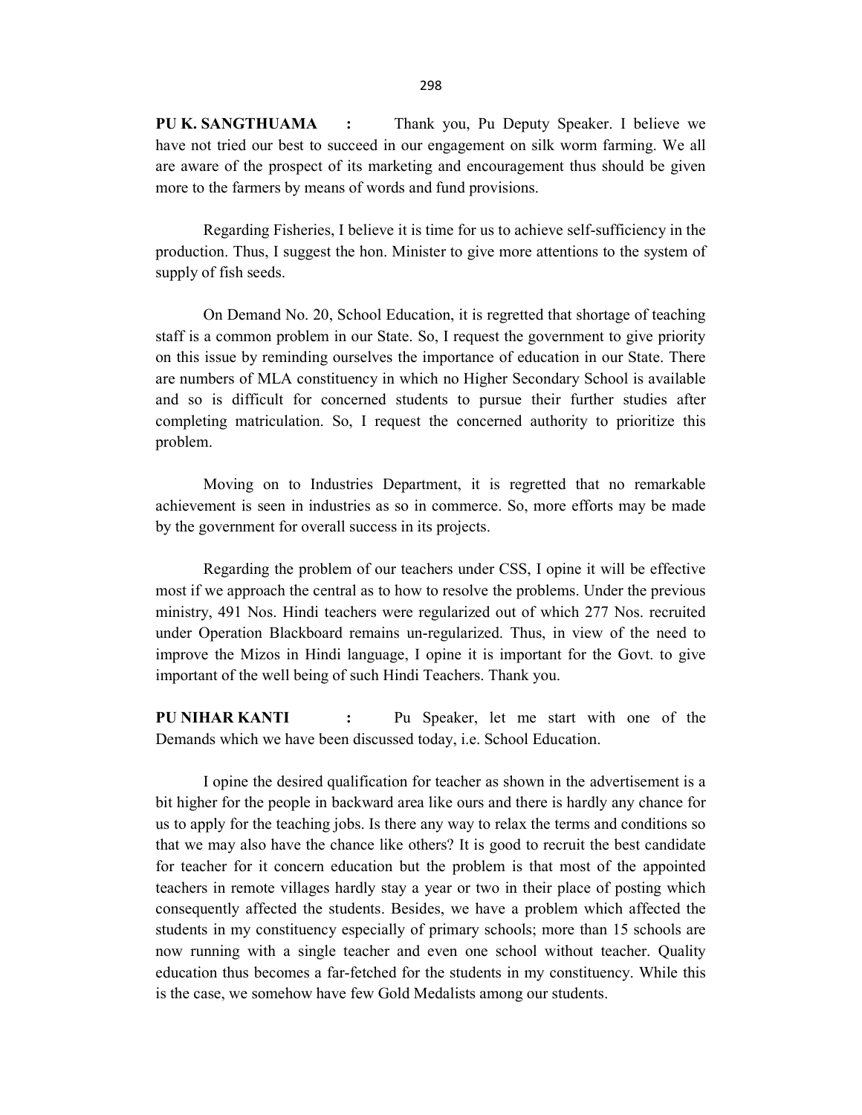PU K. SANGTHUAMA : Thank you, Pu Deputy Speaker. I believe we have not tried our best to succeed in our engagement on silk worm farming. We all are aware of the prospect of its marketing and encouragement thus should be given more to the farmers by means of words and fund provisions.

 Regarding Fisheries, I believe it is time for us to achieve self-sufficiency in the production. Thus, I suggest the hon. Minister to give more attentions to the system of supply of fish seeds.

 On Demand No. 20, School Education, it is regretted that shortage of teaching staff is a common problem in our State. So, I request the government to give priority on this issue by reminding ourselves the importance of education in our State. There are numbers of MLA constituency in which no Higher Secondary School is available and so is difficult for concerned students to pursue their further studies after completing matriculation. So, I request the concerned authority to prioritize this problem.

 Moving on to Industries Department, it is regretted that no remarkable achievement is seen in industries as so in commerce. So, more efforts may be made by the government for overall success in its projects.

 Regarding the problem of our teachers under CSS, I opine it will be effective most if we approach the central as to how to resolve the problems. Under the previous ministry, 491 Nos. Hindi teachers were regularized out of which 277 Nos. recruited under Operation Blackboard remains un-regularized. Thus, in view of the need to improve the Mizos in Hindi language, I opine it is important for the Govt. to give important of the well being of such Hindi Teachers. Thank you.

PU NIHAR KANTI : Pu Speaker, let me start with one of the Demands which we have been discussed today, i.e. School Education.

 I opine the desired qualification for teacher as shown in the advertisement is a bit higher for the people in backward area like ours and there is hardly any chance for us to apply for the teaching jobs. Is there any way to relax the terms and conditions so that we may also have the chance like others? It is good to recruit the best candidate for teacher for it concern education but the problem is that most of the appointed teachers in remote villages hardly stay a year or two in their place of posting which consequently affected the students. Besides, we have a problem which affected the students in my constituency especially of primary schools; more than 15 schools are now running with a single teacher and even one school without teacher. Quality education thus becomes a far-fetched for the students in my constituency. While this is the case, we somehow have few Gold Medalists among our students.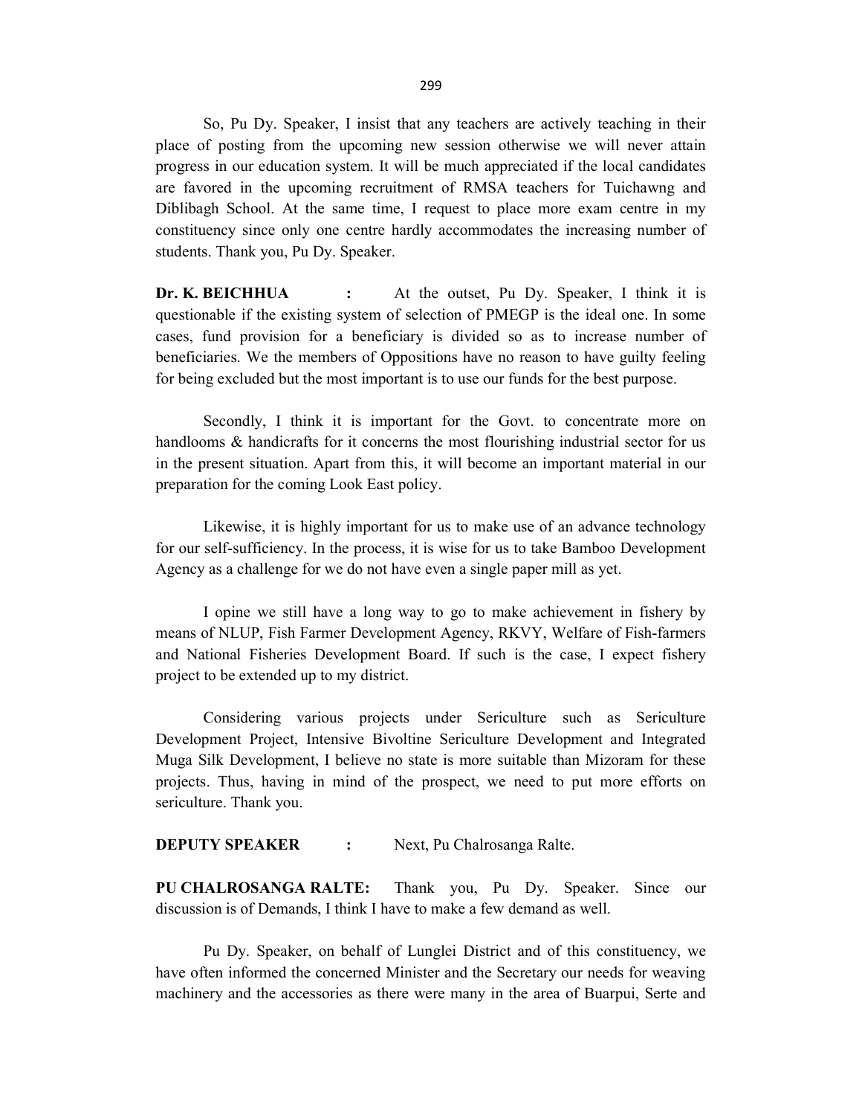So, Pu Dy. Speaker, I insist that any teachers are actively teaching in their place of posting from the upcoming new session otherwise we will never attain progress in our education system. It will be much appreciated if the local candidates are favored in the upcoming recruitment of RMSA teachers for Tuichawng and Diblibagh School. At the same time, I request to place more exam centre in my constituency since only one centre hardly accommodates the increasing number of students. Thank you, Pu Dy. Speaker.

Dr. K. BEICHHUA : At the outset, Pu Dy. Speaker, I think it is questionable if the existing system of selection of PMEGP is the ideal one. In some cases, fund provision for a beneficiary is divided so as to increase number of beneficiaries. We the members of Oppositions have no reason to have guilty feeling for being excluded but the most important is to use our funds for the best purpose.

 Secondly, I think it is important for the Govt. to concentrate more on handlooms & handicrafts for it concerns the most flourishing industrial sector for us in the present situation. Apart from this, it will become an important material in our preparation for the coming Look East policy.

 Likewise, it is highly important for us to make use of an advance technology for our self-sufficiency. In the process, it is wise for us to take Bamboo Development Agency as a challenge for we do not have even a single paper mill as yet.

 I opine we still have a long way to go to make achievement in fishery by means of NLUP, Fish Farmer Development Agency, RKVY, Welfare of Fish-farmers and National Fisheries Development Board. If such is the case, I expect fishery project to be extended up to my district.

 Considering various projects under Sericulture such as Sericulture Development Project, Intensive Bivoltine Sericulture Development and Integrated Muga Silk Development, I believe no state is more suitable than Mizoram for these projects. Thus, having in mind of the prospect, we need to put more efforts on sericulture. Thank you.

### **DEPUTY SPEAKER** : Next, Pu Chalrosanga Ralte.

PU CHALROSANGA RALTE: Thank you, Pu Dy. Speaker. Since our discussion is of Demands, I think I have to make a few demand as well.

 Pu Dy. Speaker, on behalf of Lunglei District and of this constituency, we have often informed the concerned Minister and the Secretary our needs for weaving machinery and the accessories as there were many in the area of Buarpui, Serte and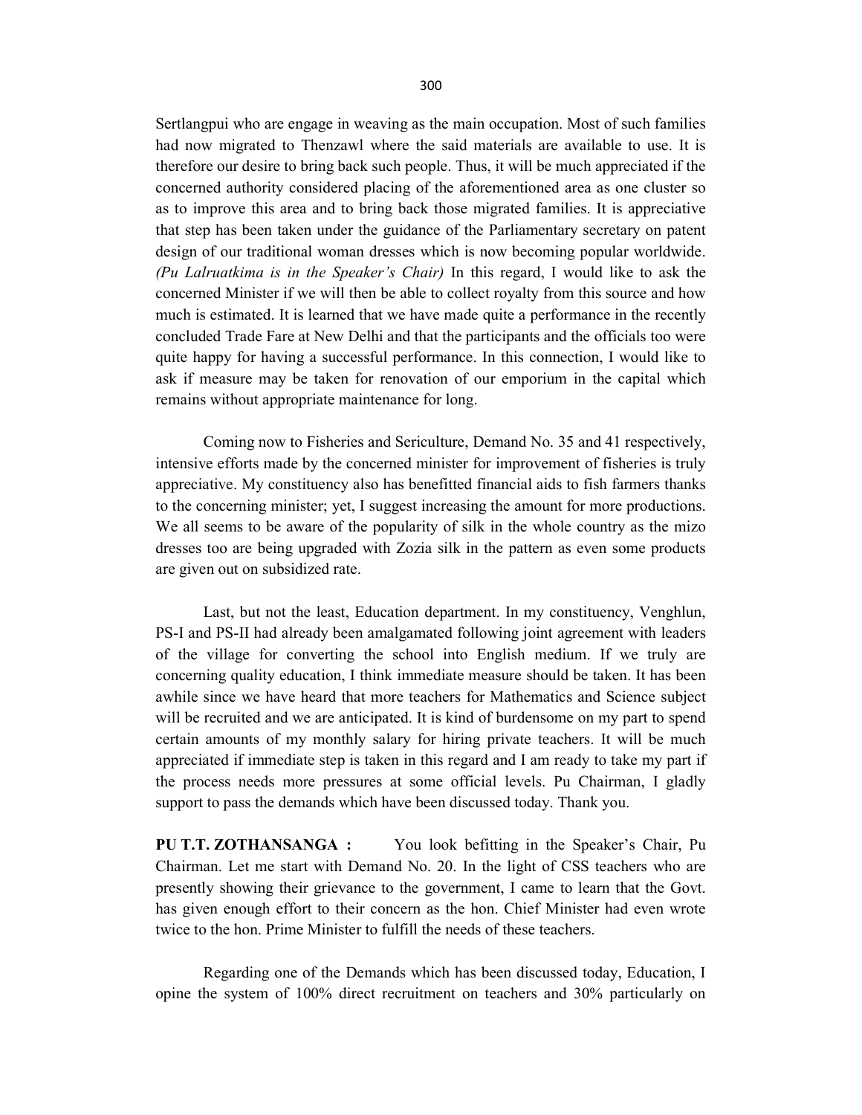Sertlangpui who are engage in weaving as the main occupation. Most of such families had now migrated to Thenzawl where the said materials are available to use. It is therefore our desire to bring back such people. Thus, it will be much appreciated if the concerned authority considered placing of the aforementioned area as one cluster so as to improve this area and to bring back those migrated families. It is appreciative that step has been taken under the guidance of the Parliamentary secretary on patent design of our traditional woman dresses which is now becoming popular worldwide. (Pu Lalruatkima is in the Speaker's Chair) In this regard, I would like to ask the concerned Minister if we will then be able to collect royalty from this source and how much is estimated. It is learned that we have made quite a performance in the recently concluded Trade Fare at New Delhi and that the participants and the officials too were quite happy for having a successful performance. In this connection, I would like to ask if measure may be taken for renovation of our emporium in the capital which remains without appropriate maintenance for long.

 Coming now to Fisheries and Sericulture, Demand No. 35 and 41 respectively, intensive efforts made by the concerned minister for improvement of fisheries is truly appreciative. My constituency also has benefitted financial aids to fish farmers thanks to the concerning minister; yet, I suggest increasing the amount for more productions. We all seems to be aware of the popularity of silk in the whole country as the mizo dresses too are being upgraded with Zozia silk in the pattern as even some products are given out on subsidized rate.

 Last, but not the least, Education department. In my constituency, Venghlun, PS-I and PS-II had already been amalgamated following joint agreement with leaders of the village for converting the school into English medium. If we truly are concerning quality education, I think immediate measure should be taken. It has been awhile since we have heard that more teachers for Mathematics and Science subject will be recruited and we are anticipated. It is kind of burdensome on my part to spend certain amounts of my monthly salary for hiring private teachers. It will be much appreciated if immediate step is taken in this regard and I am ready to take my part if the process needs more pressures at some official levels. Pu Chairman, I gladly support to pass the demands which have been discussed today. Thank you.

PU T.T. ZOTHANSANGA : You look befitting in the Speaker's Chair, Pu Chairman. Let me start with Demand No. 20. In the light of CSS teachers who are presently showing their grievance to the government, I came to learn that the Govt. has given enough effort to their concern as the hon. Chief Minister had even wrote twice to the hon. Prime Minister to fulfill the needs of these teachers.

 Regarding one of the Demands which has been discussed today, Education, I opine the system of 100% direct recruitment on teachers and 30% particularly on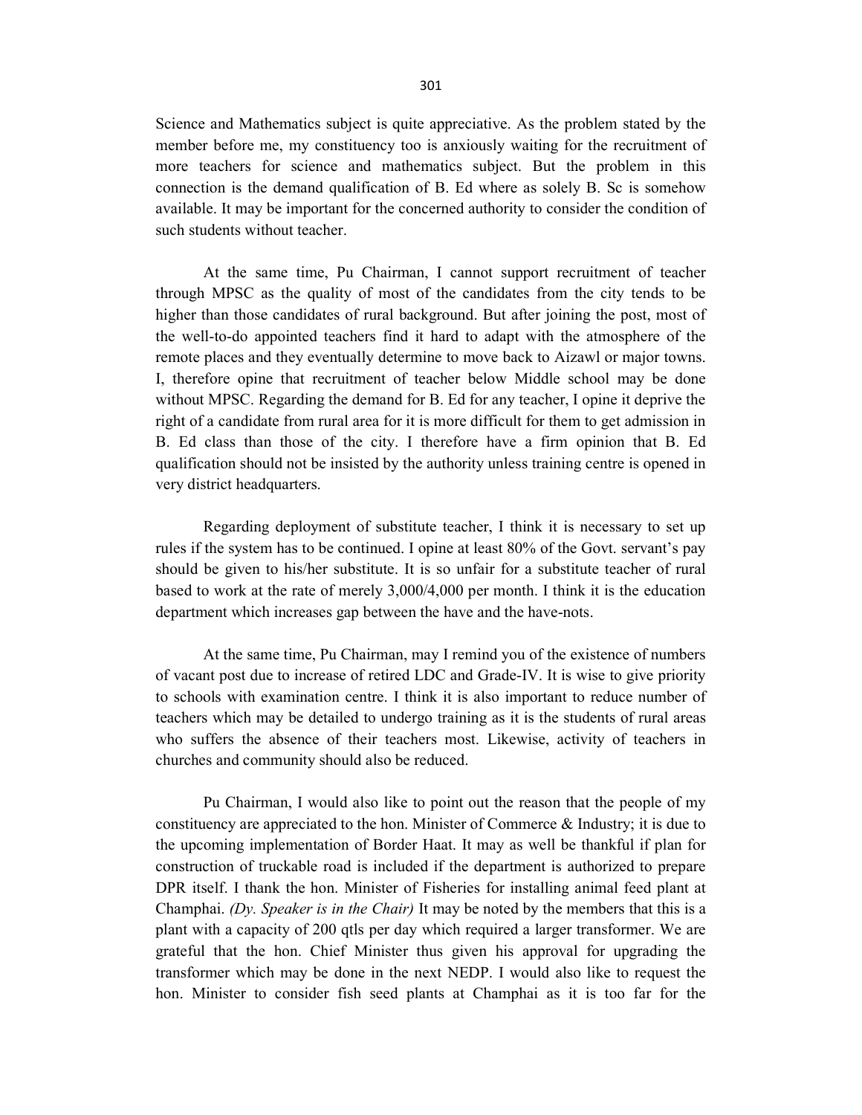301

Science and Mathematics subject is quite appreciative. As the problem stated by the member before me, my constituency too is anxiously waiting for the recruitment of more teachers for science and mathematics subject. But the problem in this connection is the demand qualification of B. Ed where as solely B. Sc is somehow available. It may be important for the concerned authority to consider the condition of such students without teacher.

 At the same time, Pu Chairman, I cannot support recruitment of teacher through MPSC as the quality of most of the candidates from the city tends to be higher than those candidates of rural background. But after joining the post, most of the well-to-do appointed teachers find it hard to adapt with the atmosphere of the remote places and they eventually determine to move back to Aizawl or major towns. I, therefore opine that recruitment of teacher below Middle school may be done without MPSC. Regarding the demand for B. Ed for any teacher, I opine it deprive the right of a candidate from rural area for it is more difficult for them to get admission in B. Ed class than those of the city. I therefore have a firm opinion that B. Ed qualification should not be insisted by the authority unless training centre is opened in very district headquarters.

 Regarding deployment of substitute teacher, I think it is necessary to set up rules if the system has to be continued. I opine at least 80% of the Govt. servant's pay should be given to his/her substitute. It is so unfair for a substitute teacher of rural based to work at the rate of merely 3,000/4,000 per month. I think it is the education department which increases gap between the have and the have-nots.

 At the same time, Pu Chairman, may I remind you of the existence of numbers of vacant post due to increase of retired LDC and Grade-IV. It is wise to give priority to schools with examination centre. I think it is also important to reduce number of teachers which may be detailed to undergo training as it is the students of rural areas who suffers the absence of their teachers most. Likewise, activity of teachers in churches and community should also be reduced.

 Pu Chairman, I would also like to point out the reason that the people of my constituency are appreciated to the hon. Minister of Commerce & Industry; it is due to the upcoming implementation of Border Haat. It may as well be thankful if plan for construction of truckable road is included if the department is authorized to prepare DPR itself. I thank the hon. Minister of Fisheries for installing animal feed plant at Champhai. (Dy. Speaker is in the Chair) It may be noted by the members that this is a plant with a capacity of 200 qtls per day which required a larger transformer. We are grateful that the hon. Chief Minister thus given his approval for upgrading the transformer which may be done in the next NEDP. I would also like to request the hon. Minister to consider fish seed plants at Champhai as it is too far for the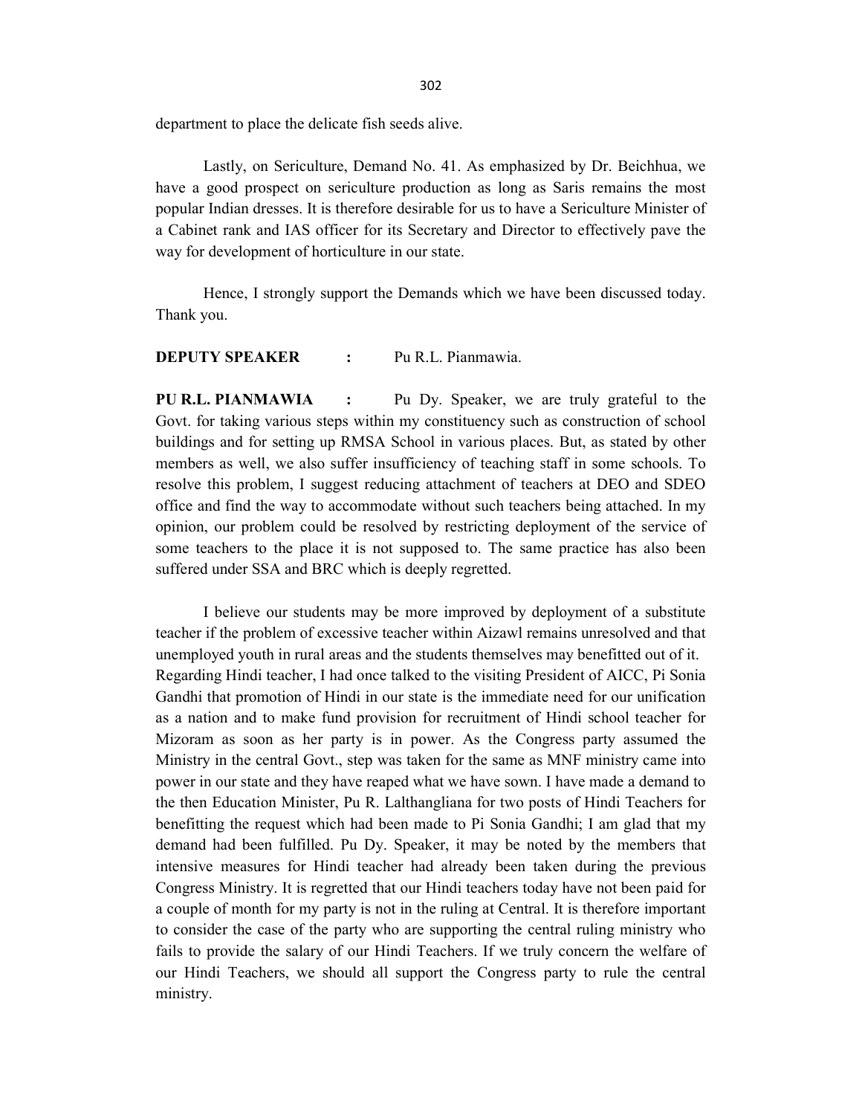department to place the delicate fish seeds alive.

 Lastly, on Sericulture, Demand No. 41. As emphasized by Dr. Beichhua, we have a good prospect on sericulture production as long as Saris remains the most popular Indian dresses. It is therefore desirable for us to have a Sericulture Minister of a Cabinet rank and IAS officer for its Secretary and Director to effectively pave the way for development of horticulture in our state.

 Hence, I strongly support the Demands which we have been discussed today. Thank you.

## DEPUTY SPEAKER : Pu R.L. Pianmawia.

PU R.L. PIANMAWIA : Pu Dy. Speaker, we are truly grateful to the Govt. for taking various steps within my constituency such as construction of school buildings and for setting up RMSA School in various places. But, as stated by other members as well, we also suffer insufficiency of teaching staff in some schools. To resolve this problem, I suggest reducing attachment of teachers at DEO and SDEO office and find the way to accommodate without such teachers being attached. In my opinion, our problem could be resolved by restricting deployment of the service of some teachers to the place it is not supposed to. The same practice has also been suffered under SSA and BRC which is deeply regretted.

 I believe our students may be more improved by deployment of a substitute teacher if the problem of excessive teacher within Aizawl remains unresolved and that unemployed youth in rural areas and the students themselves may benefitted out of it. Regarding Hindi teacher, I had once talked to the visiting President of AICC, Pi Sonia Gandhi that promotion of Hindi in our state is the immediate need for our unification as a nation and to make fund provision for recruitment of Hindi school teacher for Mizoram as soon as her party is in power. As the Congress party assumed the Ministry in the central Govt., step was taken for the same as MNF ministry came into power in our state and they have reaped what we have sown. I have made a demand to the then Education Minister, Pu R. Lalthangliana for two posts of Hindi Teachers for benefitting the request which had been made to Pi Sonia Gandhi; I am glad that my demand had been fulfilled. Pu Dy. Speaker, it may be noted by the members that intensive measures for Hindi teacher had already been taken during the previous Congress Ministry. It is regretted that our Hindi teachers today have not been paid for a couple of month for my party is not in the ruling at Central. It is therefore important to consider the case of the party who are supporting the central ruling ministry who fails to provide the salary of our Hindi Teachers. If we truly concern the welfare of our Hindi Teachers, we should all support the Congress party to rule the central ministry.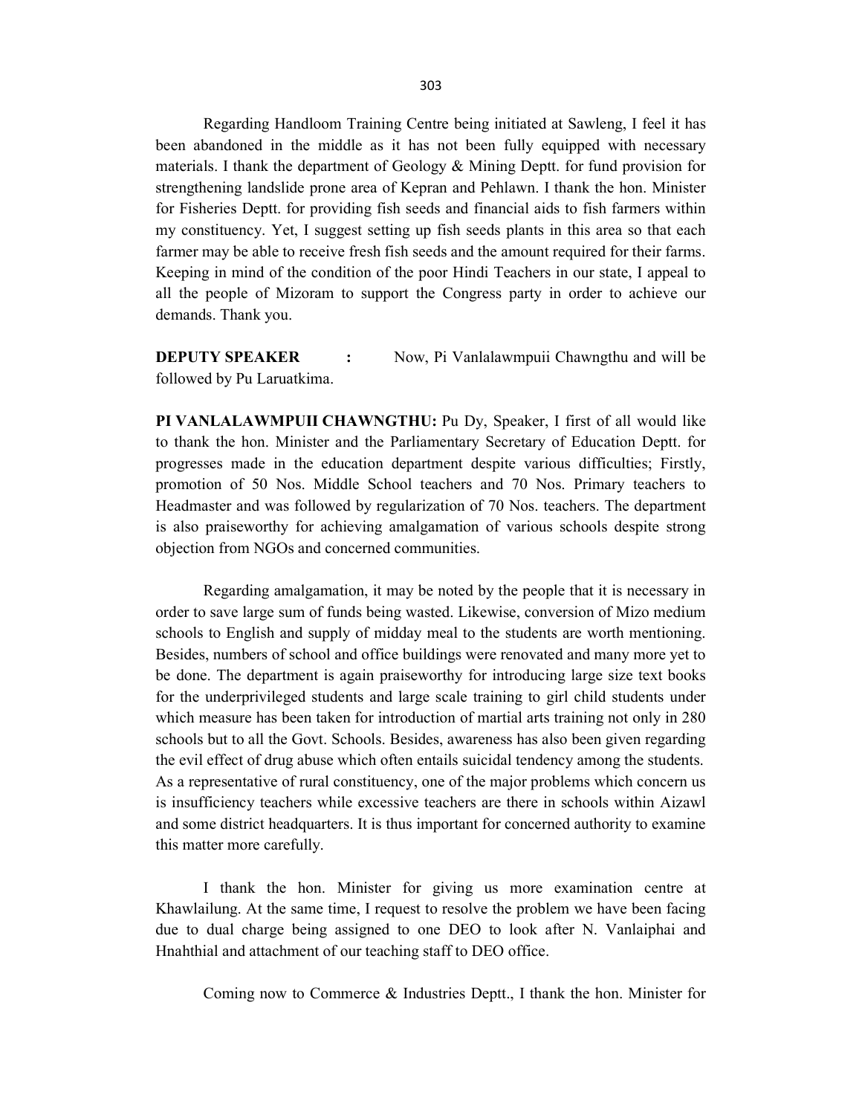Regarding Handloom Training Centre being initiated at Sawleng, I feel it has been abandoned in the middle as it has not been fully equipped with necessary materials. I thank the department of Geology & Mining Deptt. for fund provision for strengthening landslide prone area of Kepran and Pehlawn. I thank the hon. Minister for Fisheries Deptt. for providing fish seeds and financial aids to fish farmers within my constituency. Yet, I suggest setting up fish seeds plants in this area so that each farmer may be able to receive fresh fish seeds and the amount required for their farms. Keeping in mind of the condition of the poor Hindi Teachers in our state, I appeal to all the people of Mizoram to support the Congress party in order to achieve our demands. Thank you.

**DEPUTY SPEAKER** : Now, Pi Vanlalawmpuii Chawngthu and will be followed by Pu Laruatkima.

PI VANLALAWMPUII CHAWNGTHU: Pu Dy, Speaker, I first of all would like to thank the hon. Minister and the Parliamentary Secretary of Education Deptt. for progresses made in the education department despite various difficulties; Firstly, promotion of 50 Nos. Middle School teachers and 70 Nos. Primary teachers to Headmaster and was followed by regularization of 70 Nos. teachers. The department is also praiseworthy for achieving amalgamation of various schools despite strong objection from NGOs and concerned communities.

 Regarding amalgamation, it may be noted by the people that it is necessary in order to save large sum of funds being wasted. Likewise, conversion of Mizo medium schools to English and supply of midday meal to the students are worth mentioning. Besides, numbers of school and office buildings were renovated and many more yet to be done. The department is again praiseworthy for introducing large size text books for the underprivileged students and large scale training to girl child students under which measure has been taken for introduction of martial arts training not only in 280 schools but to all the Govt. Schools. Besides, awareness has also been given regarding the evil effect of drug abuse which often entails suicidal tendency among the students. As a representative of rural constituency, one of the major problems which concern us is insufficiency teachers while excessive teachers are there in schools within Aizawl and some district headquarters. It is thus important for concerned authority to examine this matter more carefully.

 I thank the hon. Minister for giving us more examination centre at Khawlailung. At the same time, I request to resolve the problem we have been facing due to dual charge being assigned to one DEO to look after N. Vanlaiphai and Hnahthial and attachment of our teaching staff to DEO office.

Coming now to Commerce & Industries Deptt., I thank the hon. Minister for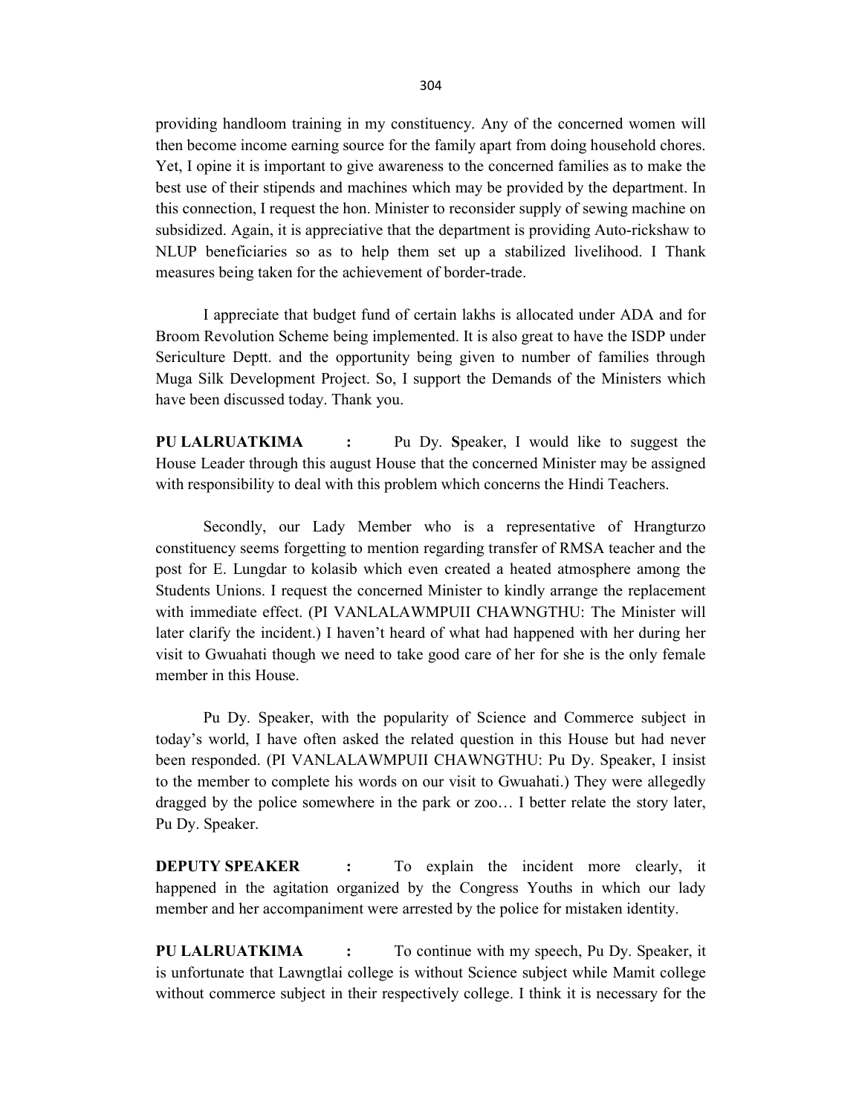providing handloom training in my constituency. Any of the concerned women will then become income earning source for the family apart from doing household chores. Yet, I opine it is important to give awareness to the concerned families as to make the best use of their stipends and machines which may be provided by the department. In this connection, I request the hon. Minister to reconsider supply of sewing machine on subsidized. Again, it is appreciative that the department is providing Auto-rickshaw to NLUP beneficiaries so as to help them set up a stabilized livelihood. I Thank measures being taken for the achievement of border-trade.

 I appreciate that budget fund of certain lakhs is allocated under ADA and for Broom Revolution Scheme being implemented. It is also great to have the ISDP under Sericulture Deptt. and the opportunity being given to number of families through Muga Silk Development Project. So, I support the Demands of the Ministers which have been discussed today. Thank you.

PU LALRUATKIMA : Pu Dy. Speaker, I would like to suggest the House Leader through this august House that the concerned Minister may be assigned with responsibility to deal with this problem which concerns the Hindi Teachers.

 Secondly, our Lady Member who is a representative of Hrangturzo constituency seems forgetting to mention regarding transfer of RMSA teacher and the post for E. Lungdar to kolasib which even created a heated atmosphere among the Students Unions. I request the concerned Minister to kindly arrange the replacement with immediate effect. (PI VANLALAWMPUII CHAWNGTHU: The Minister will later clarify the incident.) I haven't heard of what had happened with her during her visit to Gwuahati though we need to take good care of her for she is the only female member in this House.

 Pu Dy. Speaker, with the popularity of Science and Commerce subject in today's world, I have often asked the related question in this House but had never been responded. (PI VANLALAWMPUII CHAWNGTHU: Pu Dy. Speaker, I insist to the member to complete his words on our visit to Gwuahati.) They were allegedly dragged by the police somewhere in the park or zoo… I better relate the story later, Pu Dy. Speaker.

**DEPUTY SPEAKER** : To explain the incident more clearly, it happened in the agitation organized by the Congress Youths in which our lady member and her accompaniment were arrested by the police for mistaken identity.

PU LALRUATKIMA : To continue with my speech, Pu Dy. Speaker, it is unfortunate that Lawngtlai college is without Science subject while Mamit college without commerce subject in their respectively college. I think it is necessary for the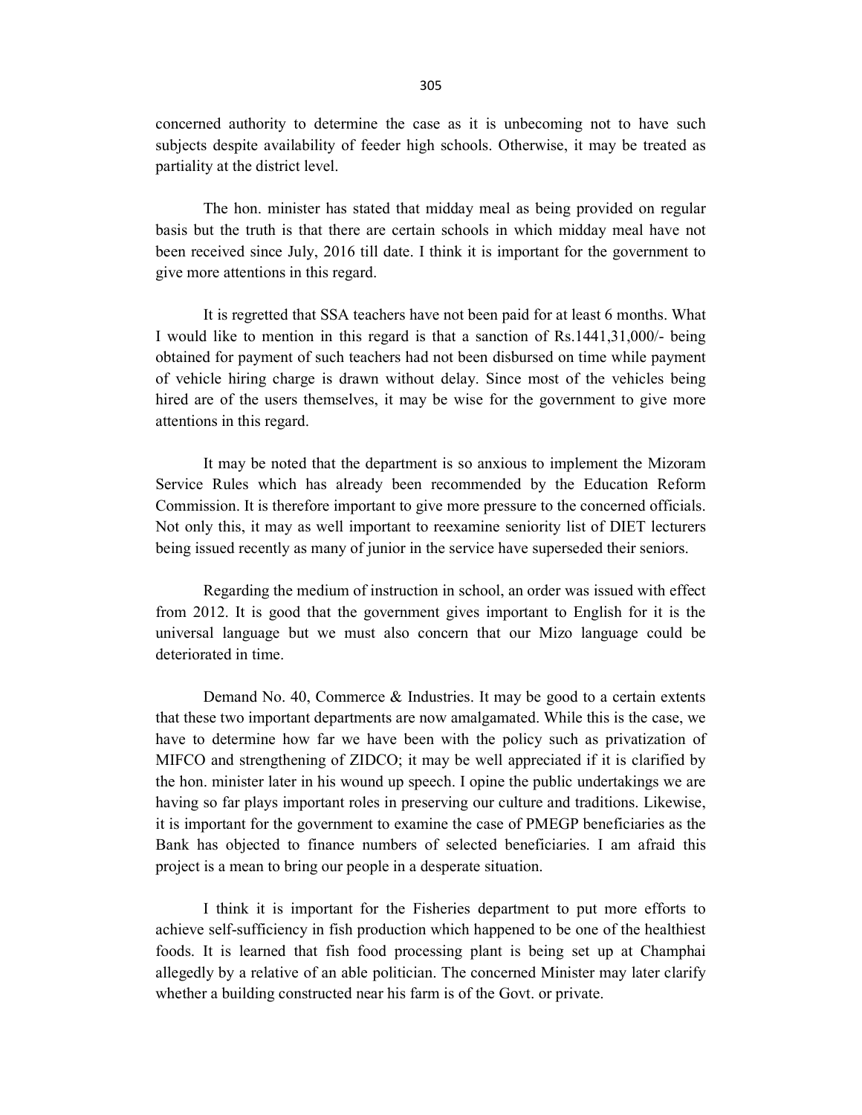concerned authority to determine the case as it is unbecoming not to have such subjects despite availability of feeder high schools. Otherwise, it may be treated as partiality at the district level.

 The hon. minister has stated that midday meal as being provided on regular basis but the truth is that there are certain schools in which midday meal have not been received since July, 2016 till date. I think it is important for the government to give more attentions in this regard.

 It is regretted that SSA teachers have not been paid for at least 6 months. What I would like to mention in this regard is that a sanction of Rs.1441,31,000/- being obtained for payment of such teachers had not been disbursed on time while payment of vehicle hiring charge is drawn without delay. Since most of the vehicles being hired are of the users themselves, it may be wise for the government to give more attentions in this regard.

 It may be noted that the department is so anxious to implement the Mizoram Service Rules which has already been recommended by the Education Reform Commission. It is therefore important to give more pressure to the concerned officials. Not only this, it may as well important to reexamine seniority list of DIET lecturers being issued recently as many of junior in the service have superseded their seniors.

 Regarding the medium of instruction in school, an order was issued with effect from 2012. It is good that the government gives important to English for it is the universal language but we must also concern that our Mizo language could be deteriorated in time.

 Demand No. 40, Commerce & Industries. It may be good to a certain extents that these two important departments are now amalgamated. While this is the case, we have to determine how far we have been with the policy such as privatization of MIFCO and strengthening of ZIDCO; it may be well appreciated if it is clarified by the hon. minister later in his wound up speech. I opine the public undertakings we are having so far plays important roles in preserving our culture and traditions. Likewise, it is important for the government to examine the case of PMEGP beneficiaries as the Bank has objected to finance numbers of selected beneficiaries. I am afraid this project is a mean to bring our people in a desperate situation.

 I think it is important for the Fisheries department to put more efforts to achieve self-sufficiency in fish production which happened to be one of the healthiest foods. It is learned that fish food processing plant is being set up at Champhai allegedly by a relative of an able politician. The concerned Minister may later clarify whether a building constructed near his farm is of the Govt. or private.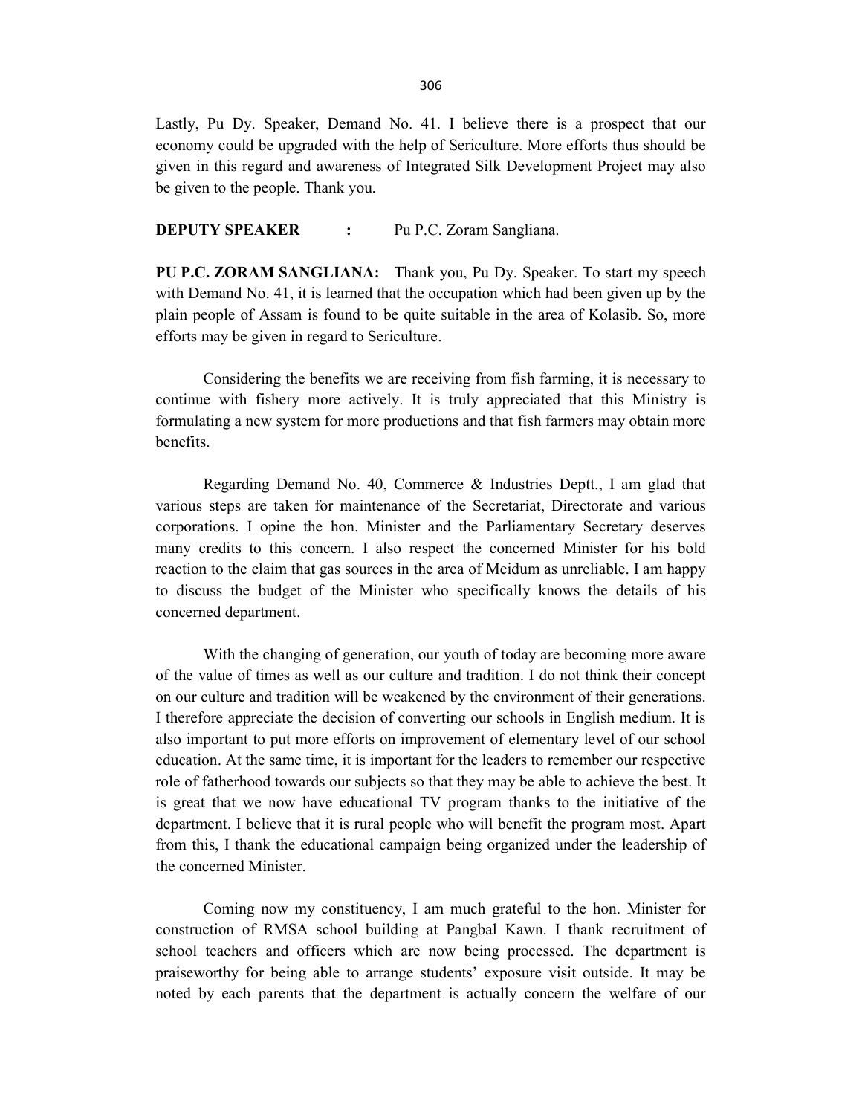Lastly, Pu Dy. Speaker, Demand No. 41. I believe there is a prospect that our economy could be upgraded with the help of Sericulture. More efforts thus should be given in this regard and awareness of Integrated Silk Development Project may also be given to the people. Thank you.

**DEPUTY SPEAKER :** Pu P.C. Zoram Sangliana.

PU P.C. ZORAM SANGLIANA: Thank you, Pu Dy. Speaker. To start my speech with Demand No. 41, it is learned that the occupation which had been given up by the plain people of Assam is found to be quite suitable in the area of Kolasib. So, more efforts may be given in regard to Sericulture.

 Considering the benefits we are receiving from fish farming, it is necessary to continue with fishery more actively. It is truly appreciated that this Ministry is formulating a new system for more productions and that fish farmers may obtain more benefits.

 Regarding Demand No. 40, Commerce & Industries Deptt., I am glad that various steps are taken for maintenance of the Secretariat, Directorate and various corporations. I opine the hon. Minister and the Parliamentary Secretary deserves many credits to this concern. I also respect the concerned Minister for his bold reaction to the claim that gas sources in the area of Meidum as unreliable. I am happy to discuss the budget of the Minister who specifically knows the details of his concerned department.

 With the changing of generation, our youth of today are becoming more aware of the value of times as well as our culture and tradition. I do not think their concept on our culture and tradition will be weakened by the environment of their generations. I therefore appreciate the decision of converting our schools in English medium. It is also important to put more efforts on improvement of elementary level of our school education. At the same time, it is important for the leaders to remember our respective role of fatherhood towards our subjects so that they may be able to achieve the best. It is great that we now have educational TV program thanks to the initiative of the department. I believe that it is rural people who will benefit the program most. Apart from this, I thank the educational campaign being organized under the leadership of the concerned Minister.

 Coming now my constituency, I am much grateful to the hon. Minister for construction of RMSA school building at Pangbal Kawn. I thank recruitment of school teachers and officers which are now being processed. The department is praiseworthy for being able to arrange students' exposure visit outside. It may be noted by each parents that the department is actually concern the welfare of our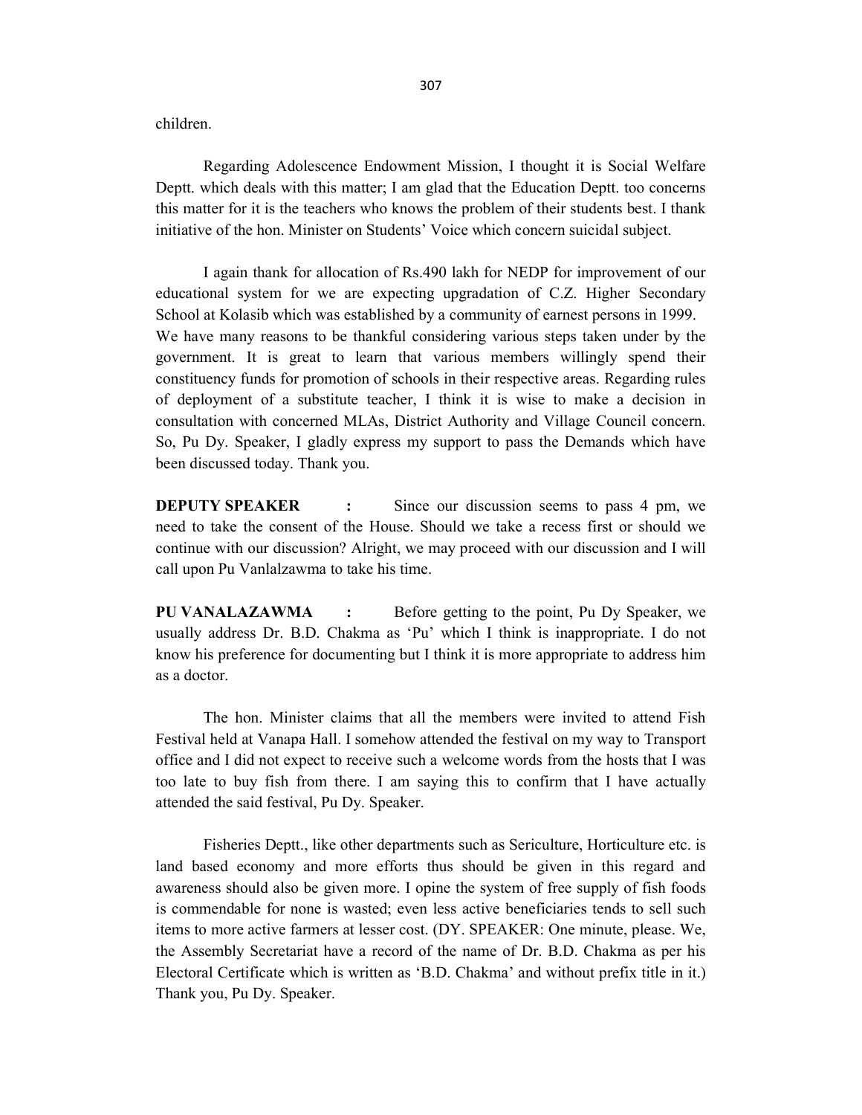children.

 Regarding Adolescence Endowment Mission, I thought it is Social Welfare Deptt. which deals with this matter; I am glad that the Education Deptt. too concerns this matter for it is the teachers who knows the problem of their students best. I thank initiative of the hon. Minister on Students' Voice which concern suicidal subject.

 I again thank for allocation of Rs.490 lakh for NEDP for improvement of our educational system for we are expecting upgradation of C.Z. Higher Secondary School at Kolasib which was established by a community of earnest persons in 1999. We have many reasons to be thankful considering various steps taken under by the government. It is great to learn that various members willingly spend their constituency funds for promotion of schools in their respective areas. Regarding rules of deployment of a substitute teacher, I think it is wise to make a decision in consultation with concerned MLAs, District Authority and Village Council concern. So, Pu Dy. Speaker, I gladly express my support to pass the Demands which have been discussed today. Thank you.

**DEPUTY SPEAKER** : Since our discussion seems to pass 4 pm, we need to take the consent of the House. Should we take a recess first or should we continue with our discussion? Alright, we may proceed with our discussion and I will call upon Pu Vanlalzawma to take his time.

PU VANALAZAWMA : Before getting to the point, Pu Dy Speaker, we usually address Dr. B.D. Chakma as 'Pu' which I think is inappropriate. I do not know his preference for documenting but I think it is more appropriate to address him as a doctor.

 The hon. Minister claims that all the members were invited to attend Fish Festival held at Vanapa Hall. I somehow attended the festival on my way to Transport office and I did not expect to receive such a welcome words from the hosts that I was too late to buy fish from there. I am saying this to confirm that I have actually attended the said festival, Pu Dy. Speaker.

 Fisheries Deptt., like other departments such as Sericulture, Horticulture etc. is land based economy and more efforts thus should be given in this regard and awareness should also be given more. I opine the system of free supply of fish foods is commendable for none is wasted; even less active beneficiaries tends to sell such items to more active farmers at lesser cost. (DY. SPEAKER: One minute, please. We, the Assembly Secretariat have a record of the name of Dr. B.D. Chakma as per his Electoral Certificate which is written as 'B.D. Chakma' and without prefix title in it.) Thank you, Pu Dy. Speaker.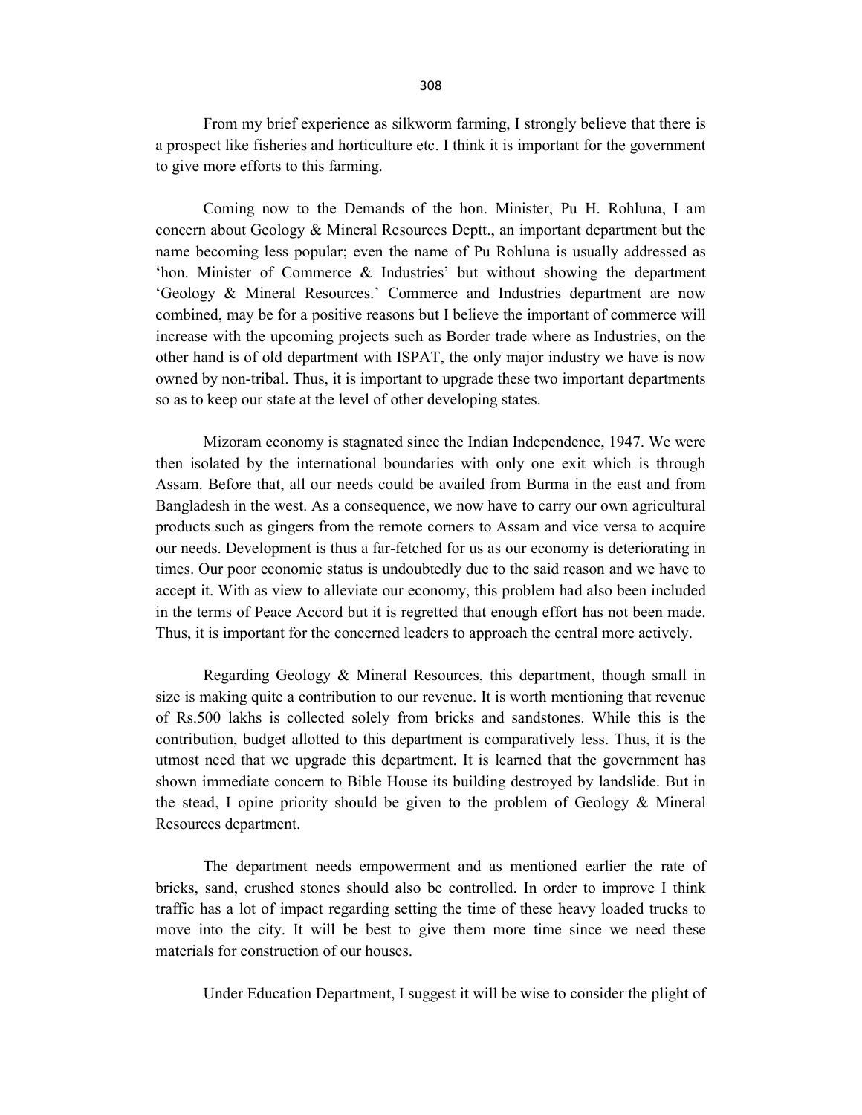From my brief experience as silkworm farming, I strongly believe that there is a prospect like fisheries and horticulture etc. I think it is important for the government to give more efforts to this farming.

 Coming now to the Demands of the hon. Minister, Pu H. Rohluna, I am concern about Geology & Mineral Resources Deptt., an important department but the name becoming less popular; even the name of Pu Rohluna is usually addressed as 'hon. Minister of Commerce & Industries' but without showing the department 'Geology & Mineral Resources.' Commerce and Industries department are now combined, may be for a positive reasons but I believe the important of commerce will increase with the upcoming projects such as Border trade where as Industries, on the other hand is of old department with ISPAT, the only major industry we have is now owned by non-tribal. Thus, it is important to upgrade these two important departments so as to keep our state at the level of other developing states.

 Mizoram economy is stagnated since the Indian Independence, 1947. We were then isolated by the international boundaries with only one exit which is through Assam. Before that, all our needs could be availed from Burma in the east and from Bangladesh in the west. As a consequence, we now have to carry our own agricultural products such as gingers from the remote corners to Assam and vice versa to acquire our needs. Development is thus a far-fetched for us as our economy is deteriorating in times. Our poor economic status is undoubtedly due to the said reason and we have to accept it. With as view to alleviate our economy, this problem had also been included in the terms of Peace Accord but it is regretted that enough effort has not been made. Thus, it is important for the concerned leaders to approach the central more actively.

 Regarding Geology & Mineral Resources, this department, though small in size is making quite a contribution to our revenue. It is worth mentioning that revenue of Rs.500 lakhs is collected solely from bricks and sandstones. While this is the contribution, budget allotted to this department is comparatively less. Thus, it is the utmost need that we upgrade this department. It is learned that the government has shown immediate concern to Bible House its building destroyed by landslide. But in the stead, I opine priority should be given to the problem of Geology & Mineral Resources department.

 The department needs empowerment and as mentioned earlier the rate of bricks, sand, crushed stones should also be controlled. In order to improve I think traffic has a lot of impact regarding setting the time of these heavy loaded trucks to move into the city. It will be best to give them more time since we need these materials for construction of our houses.

Under Education Department, I suggest it will be wise to consider the plight of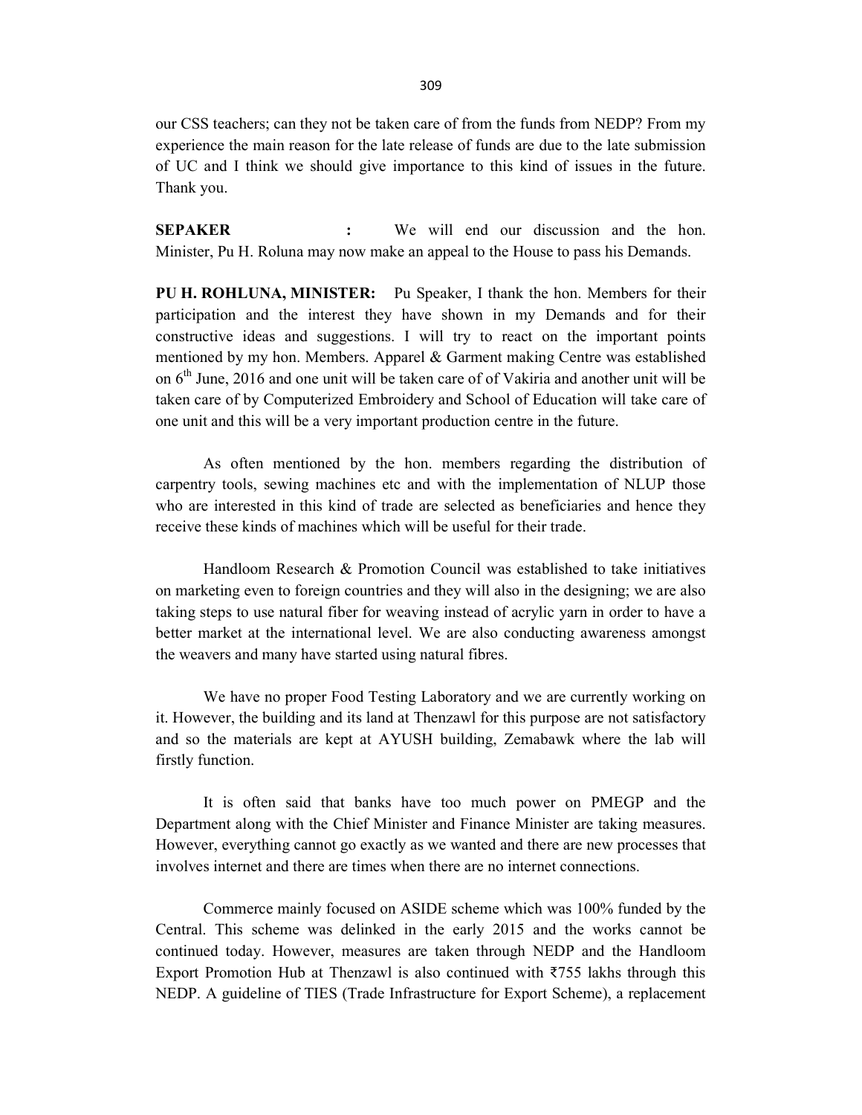our CSS teachers; can they not be taken care of from the funds from NEDP? From my experience the main reason for the late release of funds are due to the late submission of UC and I think we should give importance to this kind of issues in the future. Thank you.

SEPAKER : We will end our discussion and the hon. Minister, Pu H. Roluna may now make an appeal to the House to pass his Demands.

PU H. ROHLUNA, MINISTER: Pu Speaker, I thank the hon. Members for their participation and the interest they have shown in my Demands and for their constructive ideas and suggestions. I will try to react on the important points mentioned by my hon. Members. Apparel & Garment making Centre was established on  $6<sup>th</sup>$  June, 2016 and one unit will be taken care of of Vakiria and another unit will be taken care of by Computerized Embroidery and School of Education will take care of one unit and this will be a very important production centre in the future.

 As often mentioned by the hon. members regarding the distribution of carpentry tools, sewing machines etc and with the implementation of NLUP those who are interested in this kind of trade are selected as beneficiaries and hence they receive these kinds of machines which will be useful for their trade.

 Handloom Research & Promotion Council was established to take initiatives on marketing even to foreign countries and they will also in the designing; we are also taking steps to use natural fiber for weaving instead of acrylic yarn in order to have a better market at the international level. We are also conducting awareness amongst the weavers and many have started using natural fibres.

 We have no proper Food Testing Laboratory and we are currently working on it. However, the building and its land at Thenzawl for this purpose are not satisfactory and so the materials are kept at AYUSH building, Zemabawk where the lab will firstly function.

 It is often said that banks have too much power on PMEGP and the Department along with the Chief Minister and Finance Minister are taking measures. However, everything cannot go exactly as we wanted and there are new processes that involves internet and there are times when there are no internet connections.

 Commerce mainly focused on ASIDE scheme which was 100% funded by the Central. This scheme was delinked in the early 2015 and the works cannot be continued today. However, measures are taken through NEDP and the Handloom Export Promotion Hub at Thenzawl is also continued with ₹755 lakhs through this NEDP. A guideline of TIES (Trade Infrastructure for Export Scheme), a replacement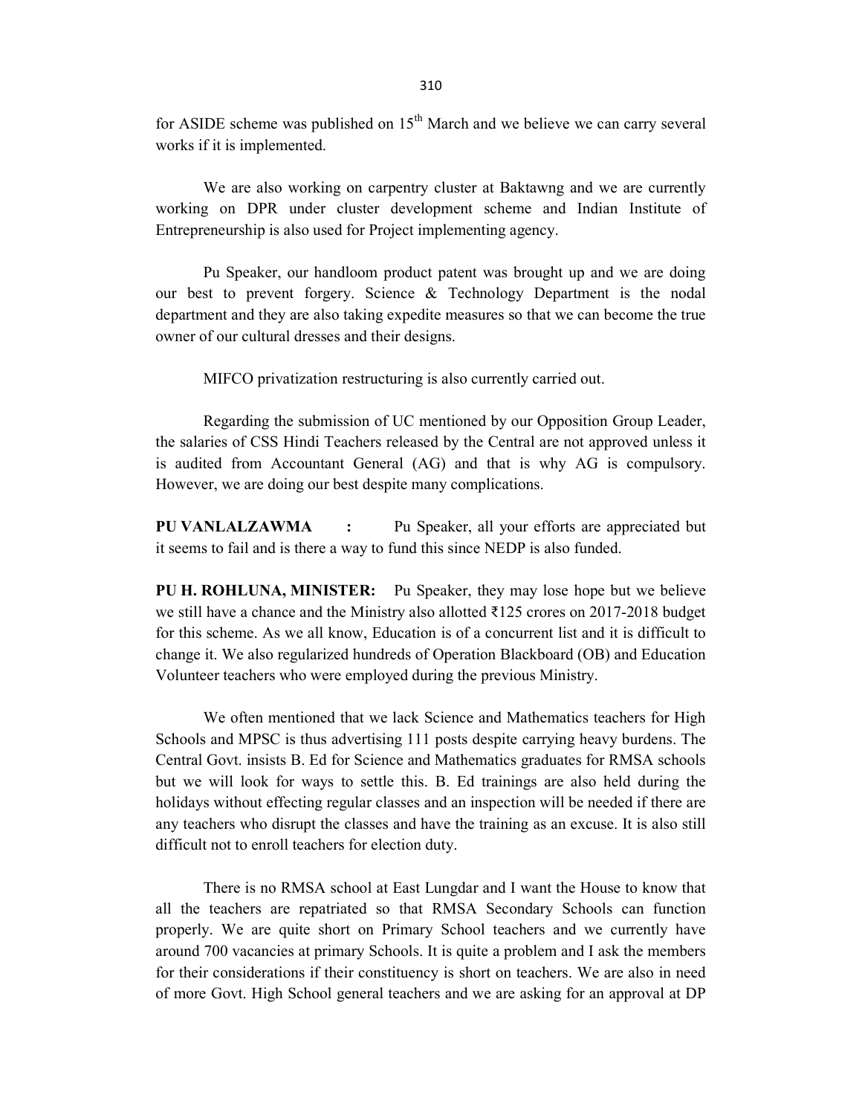for ASIDE scheme was published on  $15<sup>th</sup>$  March and we believe we can carry several works if it is implemented.

 We are also working on carpentry cluster at Baktawng and we are currently working on DPR under cluster development scheme and Indian Institute of Entrepreneurship is also used for Project implementing agency.

 Pu Speaker, our handloom product patent was brought up and we are doing our best to prevent forgery. Science & Technology Department is the nodal department and they are also taking expedite measures so that we can become the true owner of our cultural dresses and their designs.

MIFCO privatization restructuring is also currently carried out.

 Regarding the submission of UC mentioned by our Opposition Group Leader, the salaries of CSS Hindi Teachers released by the Central are not approved unless it is audited from Accountant General (AG) and that is why AG is compulsory. However, we are doing our best despite many complications.

PU VANLALZAWMA : Pu Speaker, all your efforts are appreciated but it seems to fail and is there a way to fund this since NEDP is also funded.

PU H. ROHLUNA, MINISTER: Pu Speaker, they may lose hope but we believe we still have a chance and the Ministry also allotted ₹125 crores on 2017-2018 budget for this scheme. As we all know, Education is of a concurrent list and it is difficult to change it. We also regularized hundreds of Operation Blackboard (OB) and Education Volunteer teachers who were employed during the previous Ministry.

 We often mentioned that we lack Science and Mathematics teachers for High Schools and MPSC is thus advertising 111 posts despite carrying heavy burdens. The Central Govt. insists B. Ed for Science and Mathematics graduates for RMSA schools but we will look for ways to settle this. B. Ed trainings are also held during the holidays without effecting regular classes and an inspection will be needed if there are any teachers who disrupt the classes and have the training as an excuse. It is also still difficult not to enroll teachers for election duty.

 There is no RMSA school at East Lungdar and I want the House to know that all the teachers are repatriated so that RMSA Secondary Schools can function properly. We are quite short on Primary School teachers and we currently have around 700 vacancies at primary Schools. It is quite a problem and I ask the members for their considerations if their constituency is short on teachers. We are also in need of more Govt. High School general teachers and we are asking for an approval at DP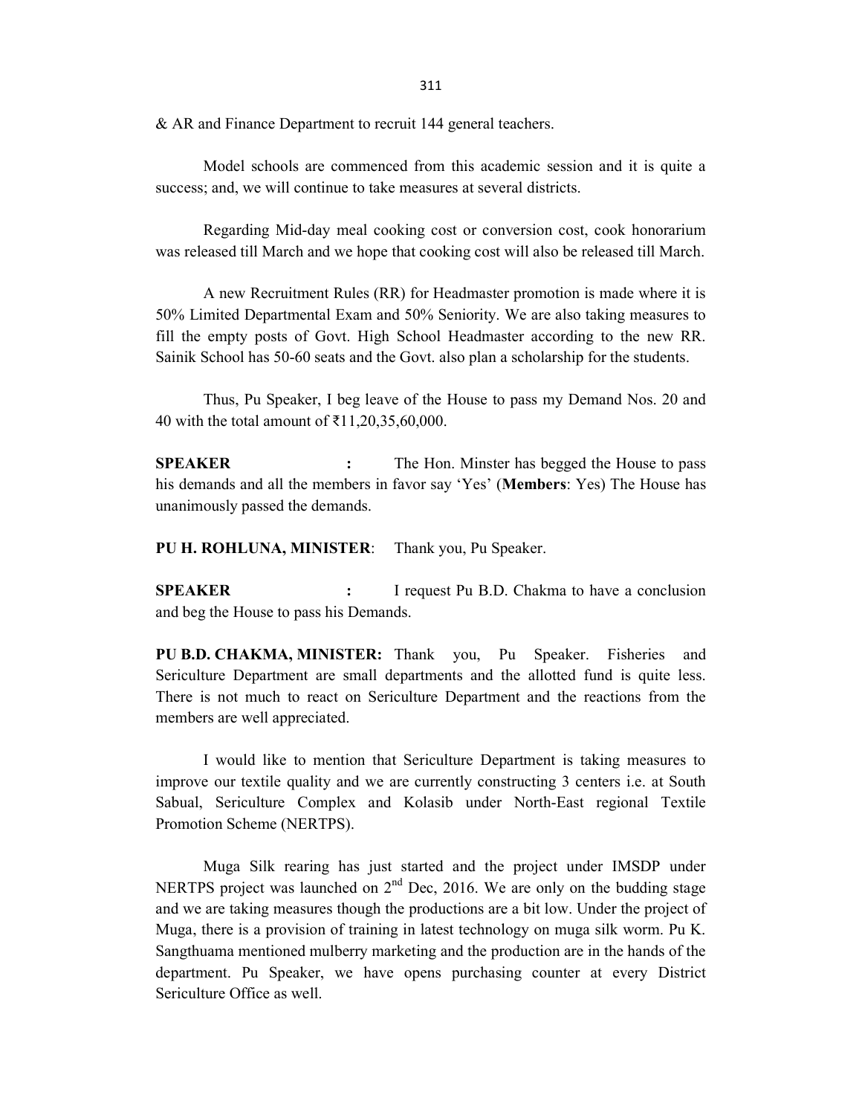311

& AR and Finance Department to recruit 144 general teachers.

 Model schools are commenced from this academic session and it is quite a success; and, we will continue to take measures at several districts.

 Regarding Mid-day meal cooking cost or conversion cost, cook honorarium was released till March and we hope that cooking cost will also be released till March.

 A new Recruitment Rules (RR) for Headmaster promotion is made where it is 50% Limited Departmental Exam and 50% Seniority. We are also taking measures to fill the empty posts of Govt. High School Headmaster according to the new RR. Sainik School has 50-60 seats and the Govt. also plan a scholarship for the students.

 Thus, Pu Speaker, I beg leave of the House to pass my Demand Nos. 20 and 40 with the total amount of ₹11,20,35,60,000.

SPEAKER : The Hon. Minster has begged the House to pass his demands and all the members in favor say 'Yes' (Members: Yes) The House has unanimously passed the demands.

PU H. ROHLUNA, MINISTER: Thank you, Pu Speaker.

SPEAKER : I request Pu B.D. Chakma to have a conclusion and beg the House to pass his Demands.

PU B.D. CHAKMA, MINISTER: Thank you, Pu Speaker. Fisheries and Sericulture Department are small departments and the allotted fund is quite less. There is not much to react on Sericulture Department and the reactions from the members are well appreciated.

 I would like to mention that Sericulture Department is taking measures to improve our textile quality and we are currently constructing 3 centers i.e. at South Sabual, Sericulture Complex and Kolasib under North-East regional Textile Promotion Scheme (NERTPS).

 Muga Silk rearing has just started and the project under IMSDP under NERTPS project was launched on  $2<sup>nd</sup>$  Dec, 2016. We are only on the budding stage and we are taking measures though the productions are a bit low. Under the project of Muga, there is a provision of training in latest technology on muga silk worm. Pu K. Sangthuama mentioned mulberry marketing and the production are in the hands of the department. Pu Speaker, we have opens purchasing counter at every District Sericulture Office as well.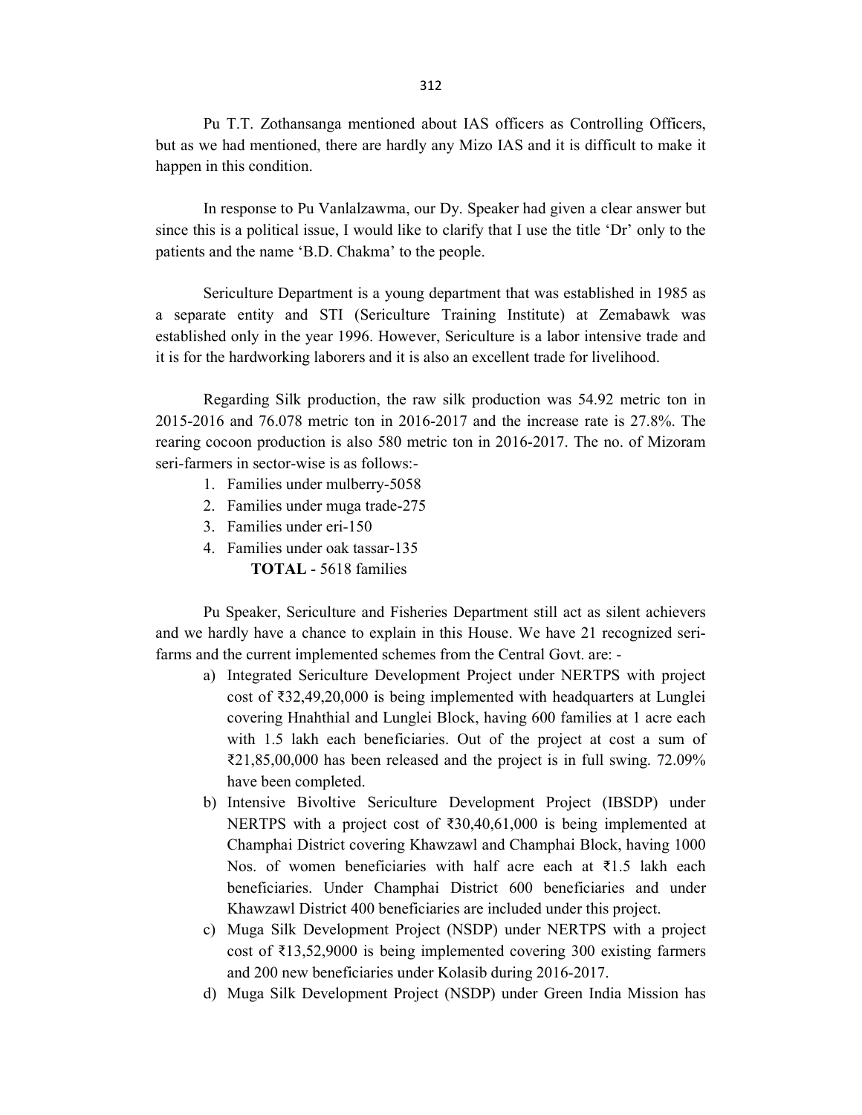Pu T.T. Zothansanga mentioned about IAS officers as Controlling Officers, but as we had mentioned, there are hardly any Mizo IAS and it is difficult to make it happen in this condition.

 In response to Pu Vanlalzawma, our Dy. Speaker had given a clear answer but since this is a political issue, I would like to clarify that I use the title 'Dr' only to the patients and the name 'B.D. Chakma' to the people.

 Sericulture Department is a young department that was established in 1985 as a separate entity and STI (Sericulture Training Institute) at Zemabawk was established only in the year 1996. However, Sericulture is a labor intensive trade and it is for the hardworking laborers and it is also an excellent trade for livelihood.

 Regarding Silk production, the raw silk production was 54.92 metric ton in 2015-2016 and 76.078 metric ton in 2016-2017 and the increase rate is 27.8%. The rearing cocoon production is also 580 metric ton in 2016-2017. The no. of Mizoram seri-farmers in sector-wise is as follows:-

- 1. Families under mulberry-5058
- 2. Families under muga trade-275
- 3. Families under eri-150
- 4. Families under oak tassar-135 TOTAL - 5618 families

 Pu Speaker, Sericulture and Fisheries Department still act as silent achievers and we hardly have a chance to explain in this House. We have 21 recognized serifarms and the current implemented schemes from the Central Govt. are: -

- a) Integrated Sericulture Development Project under NERTPS with project cost of ₹32,49,20,000 is being implemented with headquarters at Lunglei covering Hnahthial and Lunglei Block, having 600 families at 1 acre each with 1.5 lakh each beneficiaries. Out of the project at cost a sum of ₹21,85,00,000 has been released and the project is in full swing. 72.09% have been completed.
- b) Intensive Bivoltive Sericulture Development Project (IBSDP) under NERTPS with a project cost of ₹30,40,61,000 is being implemented at Champhai District covering Khawzawl and Champhai Block, having 1000 Nos. of women beneficiaries with half acre each at ₹1.5 lakh each beneficiaries. Under Champhai District 600 beneficiaries and under Khawzawl District 400 beneficiaries are included under this project.
- c) Muga Silk Development Project (NSDP) under NERTPS with a project cost of ₹13,52,9000 is being implemented covering 300 existing farmers and 200 new beneficiaries under Kolasib during 2016-2017.
- d) Muga Silk Development Project (NSDP) under Green India Mission has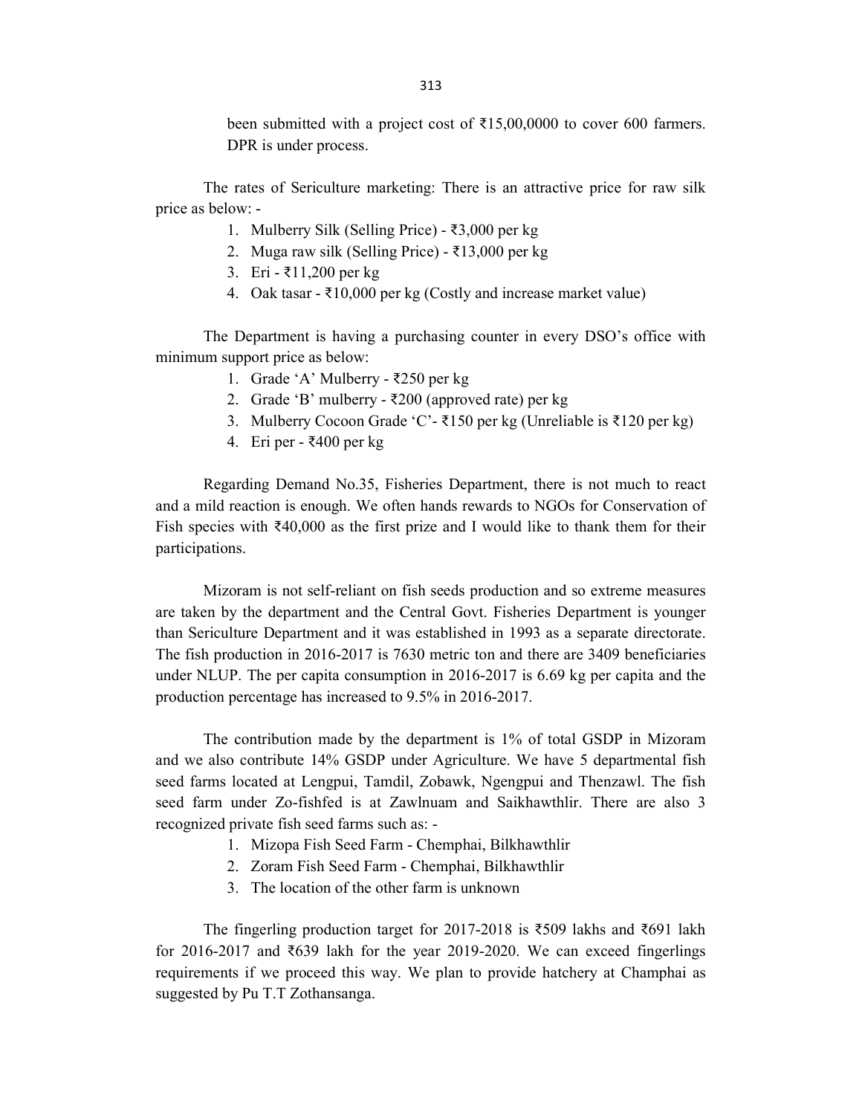been submitted with a project cost of  $\bar{\tau}$ 15,00,0000 to cover 600 farmers. DPR is under process.

 The rates of Sericulture marketing: There is an attractive price for raw silk price as below: -

- 1. Mulberry Silk (Selling Price) ₹3,000 per kg
- 2. Muga raw silk (Selling Price) ₹13,000 per kg
- 3. Eri ₹11,200 per kg
- 4. Oak tasar ₹10,000 per kg (Costly and increase market value)

 The Department is having a purchasing counter in every DSO's office with minimum support price as below:

- 1. Grade 'A' Mulberry ₹250 per kg
- 2. Grade 'B' mulberry ₹200 (approved rate) per kg
- 3. Mulberry Cocoon Grade 'C'- ₹150 per kg (Unreliable is ₹120 per kg)
- 4. Eri per ₹400 per kg

 Regarding Demand No.35, Fisheries Department, there is not much to react and a mild reaction is enough. We often hands rewards to NGOs for Conservation of Fish species with ₹40,000 as the first prize and I would like to thank them for their participations.

 Mizoram is not self-reliant on fish seeds production and so extreme measures are taken by the department and the Central Govt. Fisheries Department is younger than Sericulture Department and it was established in 1993 as a separate directorate. The fish production in 2016-2017 is 7630 metric ton and there are 3409 beneficiaries under NLUP. The per capita consumption in 2016-2017 is 6.69 kg per capita and the production percentage has increased to 9.5% in 2016-2017.

 The contribution made by the department is 1% of total GSDP in Mizoram and we also contribute 14% GSDP under Agriculture. We have 5 departmental fish seed farms located at Lengpui, Tamdil, Zobawk, Ngengpui and Thenzawl. The fish seed farm under Zo-fishfed is at Zawlnuam and Saikhawthlir. There are also 3 recognized private fish seed farms such as: -

- 1. Mizopa Fish Seed Farm Chemphai, Bilkhawthlir
- 2. Zoram Fish Seed Farm Chemphai, Bilkhawthlir
- 3. The location of the other farm is unknown

 The fingerling production target for 2017-2018 is ₹509 lakhs and ₹691 lakh for 2016-2017 and ₹639 lakh for the year 2019-2020. We can exceed fingerlings requirements if we proceed this way. We plan to provide hatchery at Champhai as suggested by Pu T.T Zothansanga.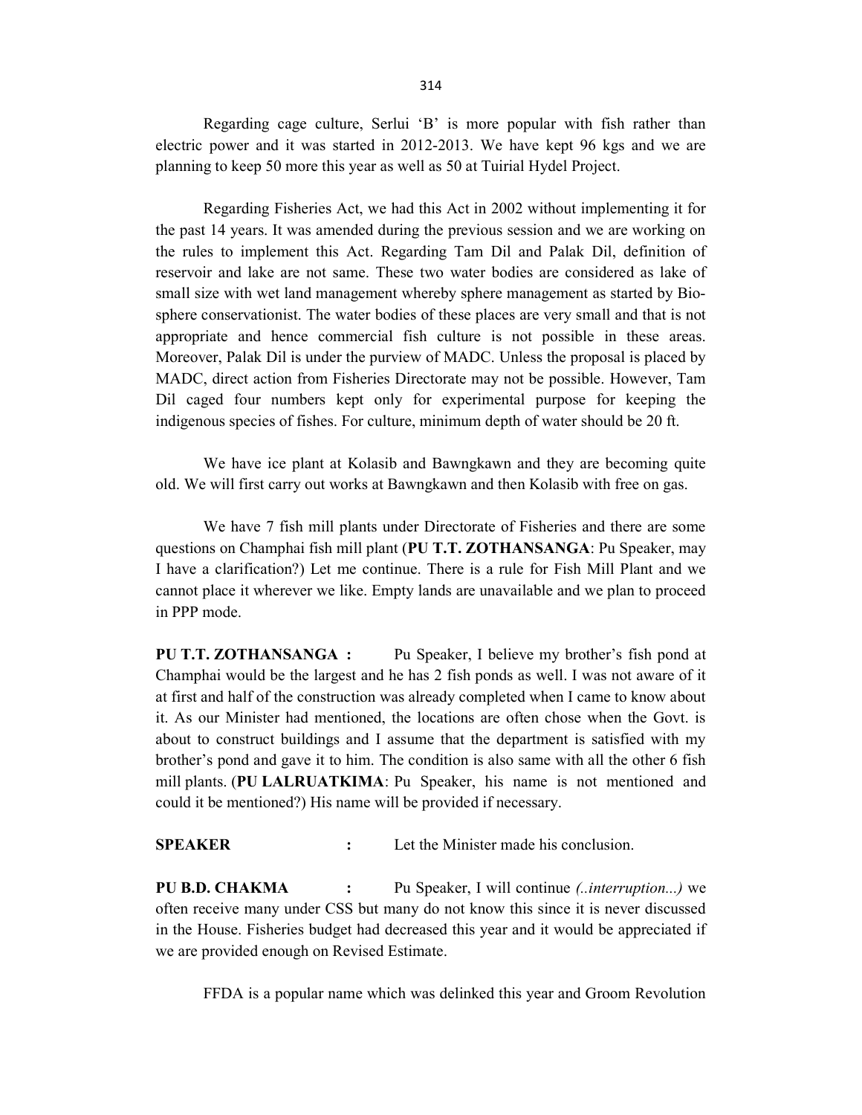Regarding cage culture, Serlui 'B' is more popular with fish rather than electric power and it was started in 2012-2013. We have kept 96 kgs and we are planning to keep 50 more this year as well as 50 at Tuirial Hydel Project.

 Regarding Fisheries Act, we had this Act in 2002 without implementing it for the past 14 years. It was amended during the previous session and we are working on the rules to implement this Act. Regarding Tam Dil and Palak Dil, definition of reservoir and lake are not same. These two water bodies are considered as lake of small size with wet land management whereby sphere management as started by Biosphere conservationist. The water bodies of these places are very small and that is not appropriate and hence commercial fish culture is not possible in these areas. Moreover, Palak Dil is under the purview of MADC. Unless the proposal is placed by MADC, direct action from Fisheries Directorate may not be possible. However, Tam Dil caged four numbers kept only for experimental purpose for keeping the indigenous species of fishes. For culture, minimum depth of water should be 20 ft.

 We have ice plant at Kolasib and Bawngkawn and they are becoming quite old. We will first carry out works at Bawngkawn and then Kolasib with free on gas.

 We have 7 fish mill plants under Directorate of Fisheries and there are some questions on Champhai fish mill plant (PU T.T. ZOTHANSANGA: Pu Speaker, may I have a clarification?) Let me continue. There is a rule for Fish Mill Plant and we cannot place it wherever we like. Empty lands are unavailable and we plan to proceed in PPP mode.

PU T.T. ZOTHANSANGA : Pu Speaker, I believe my brother's fish pond at Champhai would be the largest and he has 2 fish ponds as well. I was not aware of it at first and half of the construction was already completed when I came to know about it. As our Minister had mentioned, the locations are often chose when the Govt. is about to construct buildings and I assume that the department is satisfied with my brother's pond and gave it to him. The condition is also same with all the other 6 fish mill plants. (PU LALRUATKIMA: Pu Speaker, his name is not mentioned and could it be mentioned?) His name will be provided if necessary.

SPEAKER : Let the Minister made his conclusion.

PU B.D. CHAKMA : Pu Speaker, I will continue (..*interruption...*) we often receive many under CSS but many do not know this since it is never discussed in the House. Fisheries budget had decreased this year and it would be appreciated if we are provided enough on Revised Estimate.

FFDA is a popular name which was delinked this year and Groom Revolution